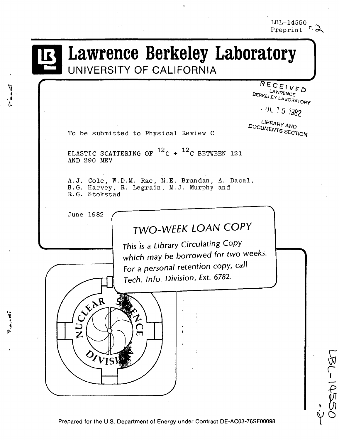# Lawrence Berkeley Laboratory **UNIVERSITY OF CALIFORNIA**

RECEIVED LAWRENCE BERKELEY LABORATORY

 $.$  UL 15 1382

 $\overline{\mathcal{M}}$  $\check{\subset}$ 

'।<br>∓

LIBRARY AND DOCUMENTS SECTION

To be submitted to Physical Review C

ELASTIC SCATTERING OF  $^{12}$ C +  $^{12}$ C BETWEEN 121 AND 290 MEV

A.J. Cole, W.D.M. Rae, M.E. Brandan, A. Dacal, B.G. Harvey, R. Legrain, M.J. Murphy and R.G. Stokstad

June 1982

~l • •  $\frac{1}{2}$ t~

 $\frac{1}{2}$ 

# **TWO-WEEK LOAN COpy**

This is a Library Circulating Copy which may be borrowed for two weeks. For a personal retention copy, call Tech. Info. Division, *Ext.* 6782.



Prepared for the U.S. Department of Energy under Contract DE-AC03-76SF00098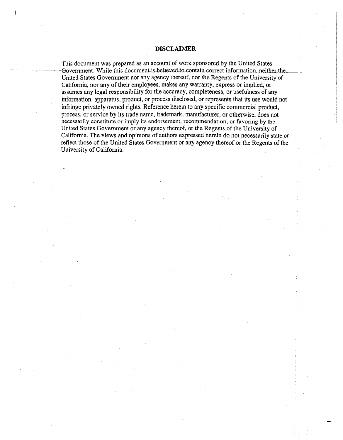#### **DISCLAIMER**

This document was prepared as an account of work sponsored by the United States Government. While-this-document-is-believed-to-contain-correct-information, neither the United States Government nor any agency thereof, nor the Regents of the University of California, nor any of their employees, makes any warranty, express or implied, or assumes any legal responsibility for the accuracy, completeness, or usefulness of any information, apparatus, product, or process disclosed, or represents that its use would not infringe privately owned rights. Reference herein to any specific commercial product, process, or service by its trade name, trademark, manufacturer, or otherwise, does not necessarily constitute or imply its endorsement, recommendation, or favoring by the United States Government or any agency thereof, or the Regents of the University of California. The views and opinions of authors expressed herein do not necessarily state or reflect those of the United States Government or any agency thereof or the Regents of the University of California.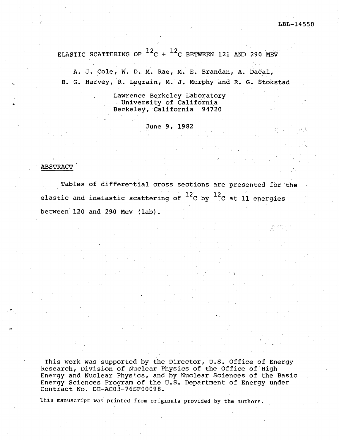ELASTIC SCATTERING OF  $^{12}$ C +  $^{12}$ C BETWEEN 121 AND 290 MEV

A. J. Cole, W. D. M. Rae, M. E. Brandan, A. Dacal, B. G. Harvey, R. Legrain, M. J. Murphy and R. G. Stokstad

> Lawrence Berkeley Laboratory University of California Berkeley, California 94720

> > June 9, 1982

#### **ABSTRACT**

.  $\blacksquare$ 

I~

Tables of differential cross sections are presented for the elastic and inelastic scattering of  $^{12}$ C by  $^{12}$ C at 11 energies between 120 and 290 MeV (lab).

This work was supported by the Director, U.S. Office of Energy Research, Division of Nuclear Physics of the Office of High Energy and Nuclear Physics, and by Nuclear Sciences of the Basic Energy Sciences Program of the U.S. Department of Energy under Contract No. DE-AC03-76SF00098.

This manuscript was printed from originals provided by the authors.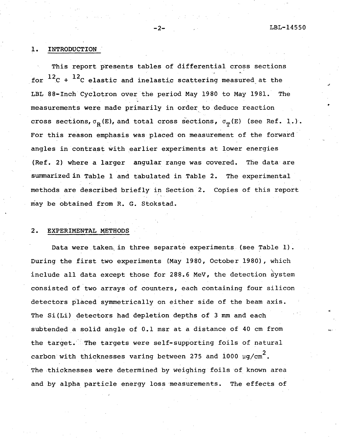J

 $\ddot{\bullet}$ 

#### 1. INTRODUCTION

This report presents tables of differential cross sections for  $^{12}$ C +  $^{12}$ C elastic and inelastic scattering measured at the LBL 88-Inch Cyclotron over the period May 1980 to May 1981. The measurements were made primarily in order to deduce reaction cross sections,  $\sigma_{\mathbf{R}}(E)$ , and total cross sections,  $\sigma_{\mathbf{m}}(E)$  (see Ref. 1.). For this reason emphasis was placed on measurement of the forward angles in contrast with earlier experiments at lower energies (Ref. 2) where a larger angular range was covered. The data are summarized in Table 1 and tabulated in Table 2. The experimental methods are described briefly in Section 2. Copies of this report may be obtained from R. G. Stokstad.

#### 2. EXPERIMENTAL METHODS

Data were taken in three separate experiments (see Table 1). During the first two experiments (May 1980, October 1980), which include all data except those for 288.6 MeV, the detection system consisted of two arrays of counters, each containing four silicon detectors placed symmetrically on either side of the beam axis. The Si(Li) detectors had depletion depths of 3 mm and each subtended a solid angle of 0.1 msr at a distance of 40 cm from the target. The targets were self-supporting foils of natural carbon with thicknesses varing between 275 and  $1000\,$   $\mu$ g/cm $^2$ . The thicknesses were determined by weighing foils of known area and by alpha particle energy loss measurements. The effects of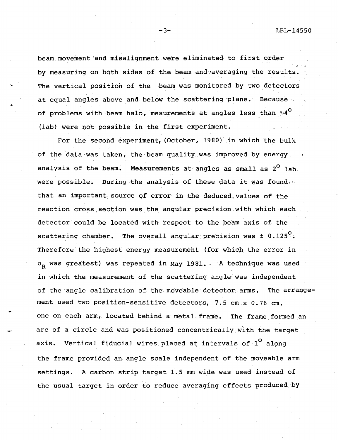$\cdot$  ,

beam movement 'and misalignment were eliminated to first order by measuring on both sides of the beam and averaging the results. The vertical position of the beam was monitored by two detectors at equal angles above and below the scattering plane. Because<br>of problems with beam halo, mesurements at angles less than  $\sim 4^{\circ}$ (lab) were not possible in the first experiment.

For the second experiment, {October, 1980} in which the bulk of the data was taken, the beam quality was improved by energy analysis of the beam. Measurements at angles as small as  $2^{\circ}$  lab. were possible. During the analysis of these data it was found  $\cdots$ that an important source of error in the deduced values of the reaction cross section was the angular precision with which each detector could be located with respect to the be'am axis of the scattering chamber. The overall angular precision was  $\pm$  0.125 $^{\circ}$ . Therefore'the highest energy measurement (for which the error in  $\sigma_{\mathbf{p}}$  was greatest) was repeated in May 1981. "A technique was used in which the measurement'of the scattering angle' was independent of the' angle calibration of. the' moveable" detector arms. The arrangement used two position-sensitive detectors, 7.5 cm x 0.76 cm, one on each arm, located behind a metal, frame. The frame.formed an arc of a circle and was positioned concentrically with the target axis. Vertical fiducial wires placed at intervals of  $1^{\circ}$  along the frame provided an, angle scale independent of the moveable arm settings. A carbon strip target 1.5 mm wide was used instead of the usual target in order to reduce averaging effects produced by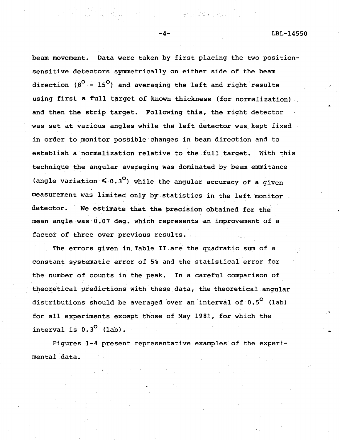LBL-14550

..

beam movement. Data were taken by first placing the two positionsensitive detectors symmetrically on either side of the beam direction  $(8^{\circ} - 15^{\circ})$  and averaging the left and right results using first a full. target of known thickness (for normalization) and then the strip target. Following this, the right detector was set at various angles while the left detector was, kept fixed in order to monitor possible changes in beam direction and to establish a normalization relative to the full target. With this technique the angular averaging was dominated by beam emmitance (angle variation  $\leq 0.3^{\circ}$ ) while the angular accuracy of a given measurement was limited only by statistics in the left monitor. detector. We estimate'that the precision obtained for the mean angle was-0.07 deg. which represents an improvement of a factor of three over previous results.

The errors given in, Table II.are the quadratic sum of a constant systematic error of 5% and the statistical error for the-number of counts in the peak. In a careful comparison of theoretical predictions with these data, the theoretical angular distributions should be averaged over an interval of  $0.5^{\circ}$  (lab) for all experiments except those of May 1981, for which the interval is  $0.3<sup>0</sup>$  (lab).

Figures 1-4 present representative examples of the experimental data.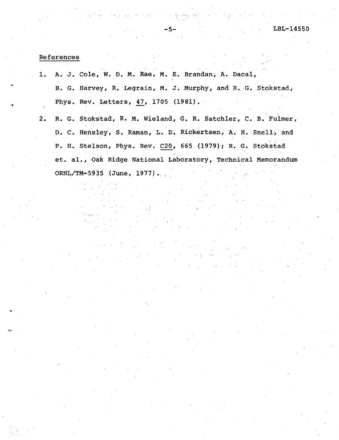#### References

1. 2. A. J. Cole, W. D. M. Rae, M. E. Brandan, A. Dacal, B. G. Harvey, R. Legrain, M. J. Murphy, and R. G. Stokstad, Phys. Rev. Letters, 47, 1705 (1981). R. G. Stokstad, R. M. Wieland, G. R. Satchler, C. B. Fulmer,

D. C. Hensley, S. Raman, L. D. Rickertsen, A. H. Snell, and P. H. Stelson, Phys. Rev. C20, 665(1979); R. G. Stokstad et. al., Oak Ridge National Laboratory, Technical Memorandum ORNL/TM-5935 (June, 1977).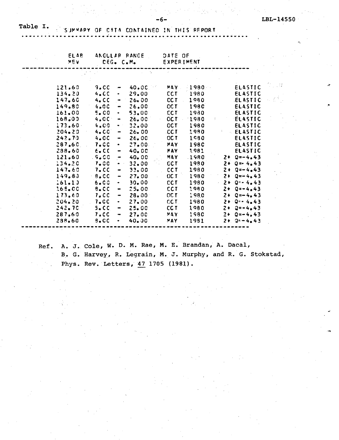- 11

#### Table I. SUMMARY OF CATA CONTAINED IN THIS REPORT

| <b>ELAB</b><br>VEV | CEG. C.M.   |                              | ANGULAR RANGE | DATE OF<br><b>EXPERIMENT</b> |             |           |                 |
|--------------------|-------------|------------------------------|---------------|------------------------------|-------------|-----------|-----------------|
|                    |             |                              |               |                              |             |           |                 |
| 121.60             | 9.0C        | ÷                            | 40.OC         | MAY.                         | 1980        |           | <b>ELASTIC</b>  |
| 134.20             | 4.0C        | $\bullet$                    | 29.00         | <b>CCT</b>                   | 1980        |           | <b>ELASTIC</b>  |
| 147.60             | 4. C C      | $\bullet$                    | $26 - 00$     | <b>CCT</b>                   | 1980        |           | ELASTIC         |
| 149.80             | 4.00        | $\frac{1}{2}$                | 26.00         | <b>CCT</b>                   | 1980        |           | ELASTIC         |
| 161.00             | 5.CO        | $\bullet$                    | 53.00         | <b>CCT</b>                   | 1930        |           | <b>ELASTIC</b>  |
| 168.00             | 4.0C        | $\bullet$                    | <b>26.00</b>  | <b>DC.T</b>                  | 1980        | \$        | <b>ELASTIC</b>  |
| 173.60             | 4.00        | $\bullet$ . $^{\circ}$       | 32.00         | <b>OCT</b>                   | 1980        |           | ELASTIC         |
| $204 - 20$         | 4.00        | $\qquad \qquad$              | 26.00         | <b>CCT</b>                   | 1980        |           | <b>ELASTIC</b>  |
| 242.70             | 4.0C        | $\blacksquare$               | 26.00         | <b>OCT</b>                   | 1980        |           | ELASTIC         |
| 287.60             | <b>7.CC</b> | $\bullet$                    | 27.00         | MAY                          | <b>1980</b> |           | ELASTIC         |
| 288,60             | 6.00        | $\hbox{\small -}$            | 40.00         | MAY                          | 1981        |           | ELASTIC         |
| 121.60             | $-5 - C C$  | $\hbox{\small -}$            | 40.00         | MAY                          | .1980       |           | $2 + 0 = -4.43$ |
| 134.20             | 7.00        | $\bullet$ .<br>:             | 32,00         | <b>CCT</b>                   | 1980        |           | $2 + 0 = 4.43$  |
| 147.60             | 7.CC        | $\blacksquare$               | 33.00         | <b>CCT</b>                   | 1980        |           | $2 + 9 = -4.43$ |
| 149.80             | 8.CC        | $\hbox{\small -}$            | 27.00         | OC T                         | 1980        |           | $2 + Q = -4.43$ |
| 161.10             | 6.00        | $\bullet$                    | 30.00         | <b>CCT</b>                   | 1980        | $\bar{z}$ | $2 + 0 - 4.43$  |
| 168.00             | $8 - CC$    | $\blacksquare$               | 25.00         | <b>CCT</b>                   | 1980        |           | $2 + 0 = -4.43$ |
| 173.60             | 7.0C        | $\qquad \qquad \blacksquare$ | 28.00         | $0C$ T                       | 1980        |           | $2 + Q = -4.43$ |
| 204.20             | 7.0C        | $\bullet$                    | 27,00         | CC.T.                        | 1980        |           | $2 + 0 = 4.43$  |
| 242.70             | $5 - C$     | $\qquad \qquad \blacksquare$ | 25.00         | CC <sub>T</sub>              | 1980        |           | $2 + 2 = -4.43$ |
| 287.60             | 7.0C        | $\blacksquare$               | 27.00         | MAY                          | 1980        |           | $2 + 0 = -4.43$ |
| 238.60             | $9 - CC$    | $\bullet$                    | 40.00         | MAY                          | 1981        |           | $2 + 9 = -4.43$ |

 $-6$ 

Ref.

A. J. Cole, W. D. M. Rae, M. E. Brandan, A. Dacal, B. G. Harvey, R. Legrain, M. J. Murphy, and R. G. Stokstad, Phys. Rev. Letters, 47 1705 (1981).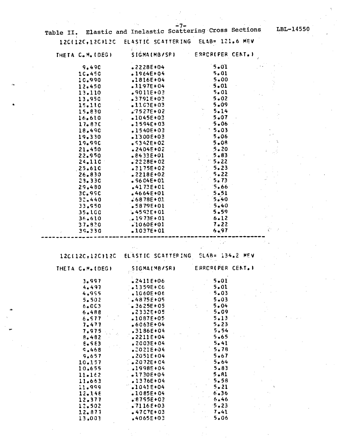| THETA C.M. (DEG) | SIGMAIMB/SRI      | <b>ERROR(PER CENT.)</b> |
|------------------|-------------------|-------------------------|
| 9.490            | $.2228E + 04$     | $-5 - 01$               |
| 10.450           | $-1964E + 04$     | 5.01                    |
| 10.990           | $.1816E+04$       | 5.00                    |
| 12.450           | $.1197E + 04$     | $-5.01$                 |
| 13.110           | $.9011E+03$       | 5.01                    |
| 13.950           | $.3791E+03$       | $5 - 02$                |
| 15.110           | $.1103E+03$       | 5.09                    |
| 15.830           | $.7527E + 02$     | 5.14                    |
| 16.610           | $.1045E + 03$     | 5.07                    |
| $17 - 83C$       | $.2594E+03$       | 5.06                    |
| 18.490           | $.1540E+03$       | 5.03                    |
| 19.330           | $.1300E + 03$     | 5.06                    |
| 19.990           | $$5342E+02$       | 5.08                    |
| 21.450           | $.2404E + 02$     | 5.20                    |
| 22.950           | $.8433E + 01$     | $5 - 83$                |
| 24.110           | $\sqrt{2228E+02}$ | 5.22                    |
| 25.610           | $.2175E+02$       | 5.23                    |
| 26.830           | $.2218E+02$       | 5.22                    |
| $23 - 330$       | $-$ 9604E+01      | 5.73                    |
| 29.480           | $.4173E+01$       | 5.66                    |
| 3C.99C           | $-4664E+01$       | 5.51                    |
| 32.440           | $6878E + 01$      | 5.40                    |
| 33.950           | $-5879E+01$       | 5.40                    |
| 35.100           | $-4593E+01$       | 5.59                    |
| 36,610           | $.1973E + 01$     | $\mathbb{R}^2$<br>6.12  |
| 37.820           | $.1060E + 01$     | 7.22                    |
| 39.330           | $.1037E+01$       | 6.97                    |
|                  |                   |                         |

12C(12C,12C)12C ELASTIC SCATTERING ELAB= 134.2 MEV

 $\bullet$ 

| THETA C.M. (DEG) | SIGMA(MB/SR)       | ERROR(PER CENT |  |
|------------------|--------------------|----------------|--|
| 3.997            | $.2411E+06$        | 5.01           |  |
| 4.497            | $1359E + 06$       | 5.01           |  |
| 4.995            | $.1060E + 06$      | $-5.03$        |  |
| 5.502            | $4875E + 05$       | 5.03           |  |
| 6.0C3            | $\bullet$ 3625E+05 | 5.04           |  |
| 6.488            | •2332E+05          | 5.09           |  |
| 6.577            | $.1087E + 05$      | 5.13           |  |
| 7.477            | $6063E + 04$       | 5.23           |  |
| 7.975            | $.3186E + 04$      | 5,54           |  |
| $8 - 482$        | $.2211E+04$        | 5.65           |  |
| $E - 5E$         | $.2003E + 04$      | 5.41           |  |
| S.468            | $.2021E + 04$      | 5.78           |  |
| 9,657            | $.2051E+04$        | 5.67           |  |
| 10.157           | $2072E + 04$       | 5.64           |  |
| 10.655           | $1998E+04$         | $5 - 83$       |  |
| 11.162           | $.41730E+04$       | 5.81           |  |
| 11.663           | $.1376E + 04$      | 5.58           |  |
| 11.999           | $-1041E+04$        | $\sim$ 5.21    |  |
| 12.148           | $-1085E+04$        | 6.36           |  |
| 12.377           | $.8795E + 0.3$     | 6.46           |  |
| 12.502           | $.7116E+03$        | 5.23           |  |
| 12.877           | $-47C7E+03$        | $\sqrt{7.41}$  |  |
| 13,003           | $.4065E + 03$      | 5.06           |  |

LBL-14550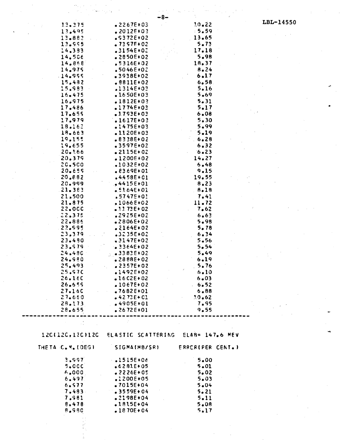|                          | -8-                                                |                   |           |
|--------------------------|----------------------------------------------------|-------------------|-----------|
| 13.375                   | $.2267E + 03$                                      | 10.22             | LBL-14550 |
| 13.495                   | $.2012E + 03$                                      | $-5.59$           |           |
| 13.882                   | $.5372E + 02$                                      | 13.65             |           |
| 13.995                   | $-7357E + 02$                                      | 5.73              |           |
| 14.383                   | .3154E+02                                          | 17.18             |           |
| 14.506                   | $-2850E+02$                                        | 5.98              |           |
| 14.868                   | $.5316E + 02$                                      | 18.37             |           |
| 14.975                   | $.5046E + 02$                                      | 8.24              |           |
| 14.955                   | .3938E+02                                          | 6.17              |           |
|                          |                                                    |                   |           |
| 15.482                   | $.8811E+02$                                        | 6.58              |           |
| 15.983                   | .1314E+03                                          | 5.16              |           |
| 16.475                   | $.1650E + 03$                                      | 5.69              |           |
| 16.975                   | $.1812E+03$                                        | 5.31              |           |
| 17.486                   | $.1774E+03$                                        | 5.17              |           |
| 17.655                   | $.1793E+03$                                        | $6 - 08$          |           |
| 17.979                   | $.1617E + 03$                                      | 5.30              |           |
| 18.162                   | $.1475E + 03$                                      | 5.99              |           |
| 18.663                   | $.1120E+03$                                        | 5.19              |           |
| 19.155                   | $.8338E+02$                                        | .6.28             |           |
| 19.655                   | $-3597E + 02$                                      | 6.32              |           |
| 20.166                   | $-2115E+02$                                        | 6.23              |           |
| 20.379                   | $.1200E+02$                                        | 14.27             |           |
| 20.500                   | $.1032E + 02$                                      | 5.48              |           |
| 20.659                   | $.8369E+01$                                        | 9.15              |           |
| 20.882                   | $.4458E + 01$                                      | 19.55             |           |
| 20.999                   | $-4415E+01$                                        | 8.23              |           |
| $.21 - 383$              | S5164E+01                                          | 8.18              |           |
| 21,500                   | $.5747E + 0!$                                      | 7.41              |           |
| 21.875                   | $.1066E + 02$                                      | 11.72             |           |
| 22.000                   | $-1272E+02$                                        | 7.62              |           |
| 22.375                   | $.2925E + 02$                                      | 6.63              |           |
| 22.886                   | $-2806E + 02$                                      | 5.98              |           |
| 22.995                   | $.2164E+02$                                        | 5.78              |           |
| 23,379                   | .3235E+02                                          | 6.34              |           |
| 23.480                   | $-3147E + 02$                                      | $5 - 56$          |           |
| 23.579                   | $-3364E + 02$                                      | 5.54              |           |
| 24,480                   | $-3382E + 02$                                      | 5.49              |           |
| 24.980                   |                                                    |                   |           |
|                          | $.2888E+02$                                        | 6.19              |           |
| 25.493                   | $-2357E+02$                                        | 5.76              |           |
| 25.S7C                   | $.1492E + 02$                                      | 6.10              |           |
| 26.160                   | $-1602E + 02$                                      | $6 - 03$          |           |
| 26.655                   | $.1067E + 02$                                      | 6.52              |           |
| 27.160                   | $.7682E+01$                                        | $6 - 88$          |           |
| 27.660                   | $-4273E + C1$                                      | 30.62             |           |
| 28.173                   | $-4905E + 01$                                      | 7.95              |           |
| 28.655                   | $.2672E + 01$                                      | 9.55              |           |
|                          |                                                    |                   |           |
|                          |                                                    |                   |           |
|                          |                                                    |                   |           |
|                          | 12C(12C,12C)12C ELASTIC SCATTERING ELAB= 147.6 MEV |                   |           |
|                          |                                                    |                   |           |
| THETA C.M. (DEG)         | SIGMAIMB/SRI                                       | ERRCRIPER CENT. ) |           |
|                          |                                                    |                   |           |
| 3.997                    | $-1515E+06$                                        | 5.00              |           |
| $5 - 00C$                | $6281E + 05$                                       | $5 - 01$          |           |
| 6.000                    | $-2226E + 05$                                      | 5.02              |           |
| 6.497                    | $.1200E+05$                                        | 5.03              |           |
| 6.577                    | $-7015E + 04$                                      | 5.04              |           |
| 7.483.<br>$\bar{\alpha}$ | $.3559E + 04$                                      | 5.21              |           |
| 7.981                    | $-2198E + 04$                                      | 5.11              |           |
| 8,478                    | $-1815E + 04$                                      | 5.08              |           |
| 8.980                    | $-1870E + 04$                                      | 5.17              |           |

 $\hat{\psi}$  ).

V.

 $\mathbf{v}$ 

 $\gamma_{\alpha\beta}$ 

÷,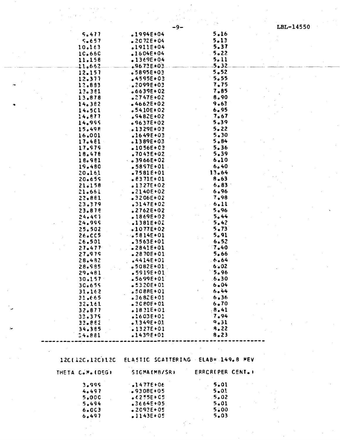| 5.477            | •1994E+04        | 5.16                               |  |
|------------------|------------------|------------------------------------|--|
| $5 - 657$        | $.2072E+04$      | 5.13                               |  |
| 10.163           | $.1911E+04$      | 5.37                               |  |
| 10.660           | $1604E + 04$     | $5 - 22$                           |  |
| 11.158           | $-1369E + 04$    | 5.11                               |  |
| $-11 - 662$      | $.9673E + 03$    | $-5 - 32$                          |  |
| 12.157           | $-5895E + 03$    | 5.52                               |  |
| 12.377           | $.4595E + 03$    | $-5.55$                            |  |
|                  | .2099E+03        | 7.75                               |  |
| 12.883           |                  |                                    |  |
| 13.381           | $6639E + 02$     | 7.85                               |  |
| 13.878           | $2747E + 02$     | 8.90                               |  |
| 14.382           | $-4662E+02$      | 9.63                               |  |
| 14.501           | $.5410E+02$      | 6.95                               |  |
| 14.877           | $$9482E+02$      | 7.67                               |  |
| 14.995           | $-9637E + 02$    | $5 - 39$                           |  |
| 15.498           | $.1329E + 03$    | 5.22                               |  |
| 16,001           | $.1649E + 03$    | 5.30                               |  |
| 17.481           | $-1389E+03$      | 5.84                               |  |
| 17.979           | $.1056E + 03$    | 5.36                               |  |
| 18.478           | $.7043E+02$      | 5.39                               |  |
| 18.981           | $-0.3966E + 0.2$ | 6.10                               |  |
| 19.480           | $.5897E+01$      | 6.40                               |  |
| 20.161           | $.7581E+01$      | 13.64                              |  |
| 20.659           | $.8371E + 01$    | 8.63                               |  |
|                  |                  | 6.83                               |  |
| 21.158           | $.1327E+02$      |                                    |  |
| 21.661           | $-2140E+02$      | 6.96                               |  |
| 22.881           | $-3206E+02$      | 7.98                               |  |
| 23.379           | $.3147E+02$      | $-6.11$                            |  |
| 23.878           | $.2762E+02$      | 5.96                               |  |
| 24.497           | $.1869E+02$      | 5.44                               |  |
| 24.999           | $-1381E+02$      | 5.42                               |  |
| 25.502           | $-1077E+02$      | 5.73                               |  |
| 26.005           | $-5814E+01$      | 5.91                               |  |
| 26.501           | $-3563E + 01$    | 6.52                               |  |
| 27.477           | $-2841E+01$      | 7.40                               |  |
| 27.979           | $.2870E + 01$    | 5.66                               |  |
| 28.482           | $.4414E + 01$    | 6.64                               |  |
| 28.985           | $•5082E+01$      | $6 - 02$                           |  |
| 29.481           | $-5919E + 01$    | 5.96                               |  |
| 30.157           | .5699E+01        | $.6 - 30$                          |  |
| 30.659           | •5320E+01        | 6 • 04                             |  |
| 31.162           | $.5088E + 01$    | 6.44                               |  |
| 31.665           | $-3682E + 01$    | 6.36                               |  |
| 32.161           | $-3080E + 01$    | 6.70                               |  |
| 32.877           | $.1831E+01$      | 8.41                               |  |
|                  |                  |                                    |  |
| 33.379           | .1603E+01        | 7.94                               |  |
| 33.882           | $.1349E + 01$    | 9.31                               |  |
| 34.385           | $.1327E+01$      | 9.22                               |  |
| 54.881           | $.1439E+01$      | 8.23                               |  |
|                  |                  |                                    |  |
|                  |                  |                                    |  |
| 12C(12C,12C)12C  |                  | ELASTIC SCATTERING ELAB= 149.8 MEV |  |
| THETA C.M. (DEG) | SIGMA(MB/SR)     | ERRCR(PER CENT.)                   |  |

.و

| 3.995     | $1477E + 06$  | 5.01  |
|-----------|---------------|-------|
| $4 - 497$ | $-9308E + 05$ | 5.0!  |
| 5.00C     | $6255E + C5$  | .5.02 |
| 5.494     | .3664E+05     | 5.01  |
| $6 - 003$ | $-2093E+05$   | 5.00  |
| 6.497     | $.1143E+05$   | 5.03  |

LBL-14550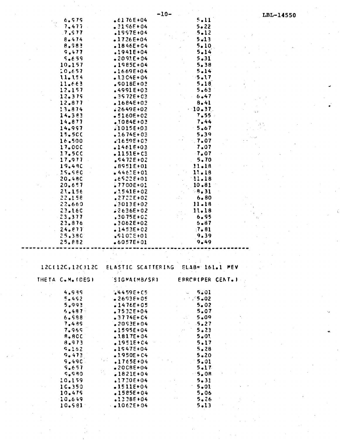|                  | $-10-$             |                    | LBL-14550 |
|------------------|--------------------|--------------------|-----------|
| 6.575            | $-6176E+04$        | 5.11               |           |
| 7.477            | $.2156E+04$        | 5.22               |           |
| 7,517            | $1997E + 04$       | $5 - 12$           |           |
| $8 - 474$        | $.1726E + 04$      | $5 - 13$           |           |
| 8.983            | $-1846E + 04$      | 5.10               |           |
| 9,477            | $.1941E + 04$      | 5.14               |           |
| 5.659            | $-2091E + 04$      | 5.31               |           |
| 10.157           | $.1985E + 04$      | 5.38               |           |
| 10,657           | $-1669E + 04$      | 5.14               |           |
| 11.154           | $.1304E + 04$      | $-5.17$            |           |
| 11.663           | $.5018E + 03$      | $5 - 18$           |           |
| 12.157           | $-4991E + 03$      | 5.63               |           |
| 12.375           | $-3572E + 03$      | 6.47               |           |
| 12,877           | $.1684E+03$        | 8,41               |           |
| 13.874           | $2649E + 02$       | 10.37              |           |
| 14.383           | $-5160E + 02$      | 7.55               |           |
| 14.877           | $.1084E + 0.3$     | 7.44               |           |
| 14.997           | $.1015E + 03$      | 5.67               |           |
| 15.5CC           | $.1674E + 03$      | 5.39               |           |
| 16.500           | $.1659E + 02$      | $-7.07$            |           |
| 17.000           | $-1461E + 03$      | 7.07               |           |
| 17.50C           | $.1151E + C3$      | $-7.07$            |           |
| 17,977           | $$5472E+02$        | 5.70               |           |
| 19.490           | $$8951E+01$        | $11 - 18$          |           |
| 15.580           | $64462E + 01$      | 11.18              |           |
| 20.480           | £6922E+01          | 11.18              |           |
| 20.657           | $.7700E+01$        | 10.81              |           |
| 21.156           | $.1541E + 02$      | $-8.31$            |           |
| 22.158           | $.2722E+02$        | 6.80               |           |
| 22.660           | $.3013E + 02$      | 11.18              |           |
| 23.160           | $2636E + 02$       | 11.18              |           |
| $-23,377$        | $.3075E + 0.2$     | 6.95               |           |
| 23.876           | $-3062E + 02$      | $5 - 87$           |           |
| 24.877           | $1453E + 02$       | 7.81               |           |
| 25.38C           | $891025 + 01$      | 9.39               |           |
| 25.882           | $-6057E + 01$      | 9.49               |           |
|                  |                    |                    |           |
|                  |                    |                    |           |
|                  |                    |                    |           |
| 120(120,120)120  | ELASTIC SCATTERING | $ELAB = L61.1$ MEV |           |
|                  |                    |                    |           |
| THETA C.M. (DEG) | SIGNA(MB/SR)       | ERRCRIPER CENT.I   |           |
|                  |                    |                    |           |
| 4.939            | $34459E + C5$      | 5.01               |           |
| 5.452            | $-2693E + 05$      | $-75-02$           |           |
| 5.993            | $1476E + 05$       | $5 - 02$           |           |
| 5.487            | $.7532E + 04$      | 5.07               |           |
| 6.598            | $-3774E + C4$      | 5.09               |           |
| 7.489            | $.2053E + 04$      | 5.27               |           |
| 7.965            | $-1595E + 04$      | 5.23               |           |
| 8,800            | $.1817E+04$        | 5.01               |           |
| 8.973            | $.1951E + C4$      | 5.17               |           |
| 9.162            | $-1547E + 04$      | 5.28               |           |
| 9.473            | $.1950E + C4$      | $5 - 20$           |           |
| 9.49C            | $.1765E+04$        | 5.01               |           |
| 5.657            | $•2008E+04$        | $5 - 17$           |           |
| 9.980            | $1821E + 04$       | $-5.08$            |           |
| 10.159           | $.1730E + 04$      | 5.31               |           |
| 10.350           | $-1511E+04$        | 5.01               |           |
| 10.475           | $-1585E + 04$      | 5.06               |           |
| 10.649           | $.1338E + 04$      | 5.26               |           |
| 10.581           | $\bullet$ 1062E+04 | 5.13               |           |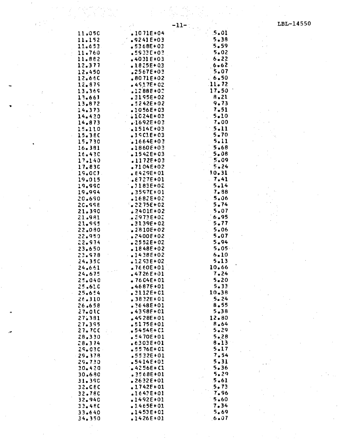$\mathcal{P}_{\mathcal{A}}^{\mathcal{A}}$  $\mathcal{O}_{\mathcal{O}_{\mathcal{A},\mathcal{C}}}$ 

 $\bar{\mathcal{A}}$  $\mathcal{L} \rightarrow \mathcal{L}_{\mathcal{L}}$ 

 $\sim$ 

 $\bar{\beta}$ 

|                  |                                | -11-1 |               |
|------------------|--------------------------------|-------|---------------|
| 11.050           | $.1071E+04$                    |       | $.5 - 01$     |
| 11.152           | $.9241E+03$                    |       | $5 - 38$      |
| 11.653           | $-5368E + 03$                  |       | 5.59          |
| 11.760           | .5933E+03                      |       | 5.02          |
| 11.882           | $-4031E+03$                    |       | 6.22          |
| 12.377           | $.1825E + 03$                  |       | $6 - 62$      |
| 12.450           | $.2567E + 03$                  |       | 5.07          |
| 12.660           | $.8071E + 02$                  |       | 6.50          |
| 12.879           | $-4517E + 02$                  |       | 11.72         |
| 13.369           | $.1288E+02$                    |       | 17.50         |
| 13,661           | $.3195E + 02$                  |       | 8.21          |
| 13.872           | $$5242E+02$                    |       | 9.73          |
| 14.373           | $.1056E + 03$                  |       | 7.51          |
| $14 - 420$       | $.1024E+03$                    |       | 5.10          |
| 14.873           | $-1692E + 03$                  |       | 7.00          |
| 15.110           | $-1514E+03$                    |       | 5.11          |
| 15,380           | <b>.19ClE+03</b>               |       | $5 - 70$      |
| 15.730           | $-1664E + 03$                  |       | 5.11          |
| 16.381           | $.1860E + 03$                  |       | 5.68          |
| 16.430           | $-1542E+03$                    |       | 5.08          |
| 17.140           | $.1172E + 03$                  |       | 5.09          |
| 17.830           | .7104E+02                      |       | 5.24          |
| 19.0CJ.          | $E429E+01$                     |       | 10.31         |
| 19.015           | $627276 + 01$                  |       | 7.41          |
| 19.990           | $.1183E+02$                    |       | 5.14          |
| 19.994           | <b>.</b> 3597E+01              |       | 7.88          |
| 20.690           | 1682E+02,                      |       | 5.06          |
| 20.998           | $3275E+02$                     |       | 5.74          |
| 21.390           | $2401E + 02$                   |       | 5.07          |
| 21.981           | $.2973E + 0.2$                 |       | 6.95          |
| 21.995           | $-3139E+02$                    |       | 5.77.         |
| 22.080           | $.2810E+02$                    |       | 5.06          |
| 22.950           | $.2400E + 02$                  |       | 5.07          |
| 22.974           | $-2552E + 02$                  |       | 5.94          |
| 23.650           | $-1848E + 02$                  |       | 5.05          |
| 23.978           | $.1438E+02$                    |       | $6 - 10$      |
| 24.35C           | $\frac{12}{2}$ S3 E + 02       |       | $5 - 13$      |
| 24.661           | $.7660E + 01$                  |       | 10.66<br>7.24 |
| 24.675           | <b>.4726E+01</b>               |       | 5.20          |
| 25.040           | $-7604E + 01$<br>$.4687E + 01$ |       | $5 - 33$      |
| 25.610<br>25.654 | $.2112E + C1$                  |       | $10 - 38$     |
| 26.310           | $.3832E+01$                    |       | 5.24          |
| 26.658           | $.3648E+01$                    |       | 8.55          |
| $27 - 010$       | $-4358F + C1$                  |       | 5.38          |
| 27,381           | $.4528E + 01$                  |       | 12.80         |
| 27.395           | $-5175E + 01$                  |       | 8.64          |
| 27.70C           | $-5454E + C$                   |       | 5.29          |
| 28.330           | $.5470E + 01$                  |       | 5.28          |
| 28.374           | $.6303E+01$                    |       | 8.13          |
| $25 - 030$       | $-5576E + 01$                  |       | 5.17          |
| $-29 - 378$      | .5532E+01                      |       | 7.54          |
| 29.730           | •5414E+01                      |       | 5.31          |
| 30.420           | $-4256E + C1$                  |       | 5.36          |
| 30.680           | .3568E+01                      |       | 5.29          |
| 31.390           | $.2632E + 01$                  |       | 5.61          |
| 32.CEC           | $.1742E + 01$                  |       | 5.73          |
| 32.78C           | $$1643E+01$                    |       | 7.96          |
| 32.940           | $.1492E + 01$                  |       | 5.60          |
| 33.480           | $.1465E + 01$                  |       | 7.34          |
| 33.640           | $.1453E + 01$                  |       | 5.69          |
| 34.350           | $.1426E+01$                    |       | , 6.07        |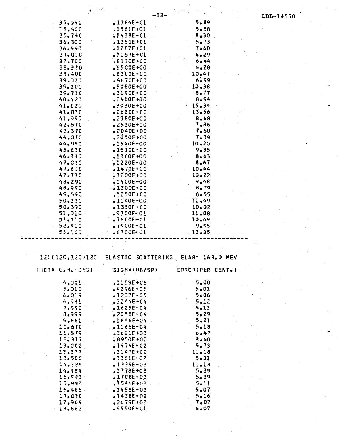| $-12-$<br>LBL-14550<br>5.89<br>35.040<br>$-1384E+01$<br>5.58<br>35.600<br>$.1561F + 01$<br>$8 - 30$<br>35.74C<br>$$1438E+01$<br>5.73<br>36.300<br>$.1351E+01$<br>7.60<br>36.440<br>$-1287E + 01$<br>6.29<br>$37 - 010$<br>$.1157E + C1$<br>6.44<br>37.7CC<br>$.8130E+0C$<br>5.28<br>38.320<br>$.6500E+00$<br>10.47<br>38,400<br>$-6300E+00$<br>6.99<br>$-4670E+00$<br>39.020<br>$.5080E+00$<br>10.38<br>39.100<br>8.77<br>39.73C<br>$-3150E+00$<br>8.94<br>40.420<br>$.2410E+0C$<br>15.34<br>41.120<br>$.3030E+00$<br>13.56<br>41.82C<br><b>.2610E+0C</b><br>8.68<br>41.990<br>.2380E+0C<br>7.86<br>42.67C<br>$-2530E+00$<br>43.37C<br>7.60<br>$.2040E+0C$<br>7.39<br>44.070<br>$20,50E+00$<br>$10 - 20$<br>44.950<br>$.1540E+00$<br>9.35<br>45.63C<br>$.1510E+00$<br>8.63<br>46.330<br>$.1360E+00$<br>8.67<br>47.030<br>$-1220E + 00$<br>$.1470E+00$<br>10.44<br>47.610<br>47.730<br>$10 - 22$<br>$.1200E+00$<br>9,48<br>$48 - 290$<br>$1400E + 00$<br>$B0$ 79<br>48.990<br>$.1300E+0C$<br>$.2250E+00$<br>49.690<br>8.55<br>$.1140E+00$<br>11.49<br>50.330<br>50.390<br>$-1350E+0C$<br>10.02<br>51.010<br>\$300E 01<br>11.08<br>51.710<br>$.7600E - 01$<br>10.69<br>52.410<br>9.95<br>$.7500E - 01$<br>•6700E 01<br>53.100<br>13.35<br>ELASTIC SCATTERING, ELAB= 168.0 MEV<br>120(120,120)120<br>THETA C.M. (DEG)<br>SIGMA(MB/SR)<br>ERRORIPER CENT. )<br>$5 - 00$<br>4.001<br>$.1159E + 06$<br>$5 - 01$<br>$5 - 010$<br>$-4296E + 05$<br>6.019<br>5.06<br>$.1237E + 05$<br>$5 - 12$<br>6.981<br>.3244E+04<br>5.13<br>7.550<br>$.1625E + 04$<br>5.29<br>8.999<br>$2058E + 04$<br>5.21<br>5.661<br>$-1846E + 04$<br>5.18<br>1C <sub>0</sub> 67C<br>$-1166E+04$<br>$.3621E + 03$<br>11.679<br>6.47<br>12.377<br>$$8950E+02$<br>$3 - 60$<br>$-1474E + C2$<br>5.73<br>13.002<br>13.377<br>.3147E+02<br>11.18<br>$5 - 31$<br>13.506<br><b>.3361E+02</b><br><b>II.18</b><br>$1335E + 03$<br>14.385<br>.1778E+03<br>5.39<br>14.984<br>15.983<br>$.1708E + 0.3$<br>5.39<br>15.993<br>$.1546E + 03$<br>5.11<br>$5 - 07$<br>$-1458E + 03$<br>16.486<br>$-7438E + 02$<br>5.16<br>17.02C<br>7.07<br>17.964<br>$.2679E + 02$<br>6.07<br>19,662<br>$$550E+01$ |  |  |  |
|--------------------------------------------------------------------------------------------------------------------------------------------------------------------------------------------------------------------------------------------------------------------------------------------------------------------------------------------------------------------------------------------------------------------------------------------------------------------------------------------------------------------------------------------------------------------------------------------------------------------------------------------------------------------------------------------------------------------------------------------------------------------------------------------------------------------------------------------------------------------------------------------------------------------------------------------------------------------------------------------------------------------------------------------------------------------------------------------------------------------------------------------------------------------------------------------------------------------------------------------------------------------------------------------------------------------------------------------------------------------------------------------------------------------------------------------------------------------------------------------------------------------------------------------------------------------------------------------------------------------------------------------------------------------------------------------------------------------------------------------------------------------------------------------------------------------------------------------------------------------------------------------------------------------------------------------------------------------------------------------------------------------------------------------------------------------------------------------------------------------------------------------------|--|--|--|
|                                                                                                                                                                                                                                                                                                                                                                                                                                                                                                                                                                                                                                                                                                                                                                                                                                                                                                                                                                                                                                                                                                                                                                                                                                                                                                                                                                                                                                                                                                                                                                                                                                                                                                                                                                                                                                                                                                                                                                                                                                                                                                                                                  |  |  |  |
|                                                                                                                                                                                                                                                                                                                                                                                                                                                                                                                                                                                                                                                                                                                                                                                                                                                                                                                                                                                                                                                                                                                                                                                                                                                                                                                                                                                                                                                                                                                                                                                                                                                                                                                                                                                                                                                                                                                                                                                                                                                                                                                                                  |  |  |  |
|                                                                                                                                                                                                                                                                                                                                                                                                                                                                                                                                                                                                                                                                                                                                                                                                                                                                                                                                                                                                                                                                                                                                                                                                                                                                                                                                                                                                                                                                                                                                                                                                                                                                                                                                                                                                                                                                                                                                                                                                                                                                                                                                                  |  |  |  |
|                                                                                                                                                                                                                                                                                                                                                                                                                                                                                                                                                                                                                                                                                                                                                                                                                                                                                                                                                                                                                                                                                                                                                                                                                                                                                                                                                                                                                                                                                                                                                                                                                                                                                                                                                                                                                                                                                                                                                                                                                                                                                                                                                  |  |  |  |
|                                                                                                                                                                                                                                                                                                                                                                                                                                                                                                                                                                                                                                                                                                                                                                                                                                                                                                                                                                                                                                                                                                                                                                                                                                                                                                                                                                                                                                                                                                                                                                                                                                                                                                                                                                                                                                                                                                                                                                                                                                                                                                                                                  |  |  |  |
|                                                                                                                                                                                                                                                                                                                                                                                                                                                                                                                                                                                                                                                                                                                                                                                                                                                                                                                                                                                                                                                                                                                                                                                                                                                                                                                                                                                                                                                                                                                                                                                                                                                                                                                                                                                                                                                                                                                                                                                                                                                                                                                                                  |  |  |  |
|                                                                                                                                                                                                                                                                                                                                                                                                                                                                                                                                                                                                                                                                                                                                                                                                                                                                                                                                                                                                                                                                                                                                                                                                                                                                                                                                                                                                                                                                                                                                                                                                                                                                                                                                                                                                                                                                                                                                                                                                                                                                                                                                                  |  |  |  |
|                                                                                                                                                                                                                                                                                                                                                                                                                                                                                                                                                                                                                                                                                                                                                                                                                                                                                                                                                                                                                                                                                                                                                                                                                                                                                                                                                                                                                                                                                                                                                                                                                                                                                                                                                                                                                                                                                                                                                                                                                                                                                                                                                  |  |  |  |
|                                                                                                                                                                                                                                                                                                                                                                                                                                                                                                                                                                                                                                                                                                                                                                                                                                                                                                                                                                                                                                                                                                                                                                                                                                                                                                                                                                                                                                                                                                                                                                                                                                                                                                                                                                                                                                                                                                                                                                                                                                                                                                                                                  |  |  |  |
|                                                                                                                                                                                                                                                                                                                                                                                                                                                                                                                                                                                                                                                                                                                                                                                                                                                                                                                                                                                                                                                                                                                                                                                                                                                                                                                                                                                                                                                                                                                                                                                                                                                                                                                                                                                                                                                                                                                                                                                                                                                                                                                                                  |  |  |  |
|                                                                                                                                                                                                                                                                                                                                                                                                                                                                                                                                                                                                                                                                                                                                                                                                                                                                                                                                                                                                                                                                                                                                                                                                                                                                                                                                                                                                                                                                                                                                                                                                                                                                                                                                                                                                                                                                                                                                                                                                                                                                                                                                                  |  |  |  |
|                                                                                                                                                                                                                                                                                                                                                                                                                                                                                                                                                                                                                                                                                                                                                                                                                                                                                                                                                                                                                                                                                                                                                                                                                                                                                                                                                                                                                                                                                                                                                                                                                                                                                                                                                                                                                                                                                                                                                                                                                                                                                                                                                  |  |  |  |
|                                                                                                                                                                                                                                                                                                                                                                                                                                                                                                                                                                                                                                                                                                                                                                                                                                                                                                                                                                                                                                                                                                                                                                                                                                                                                                                                                                                                                                                                                                                                                                                                                                                                                                                                                                                                                                                                                                                                                                                                                                                                                                                                                  |  |  |  |
|                                                                                                                                                                                                                                                                                                                                                                                                                                                                                                                                                                                                                                                                                                                                                                                                                                                                                                                                                                                                                                                                                                                                                                                                                                                                                                                                                                                                                                                                                                                                                                                                                                                                                                                                                                                                                                                                                                                                                                                                                                                                                                                                                  |  |  |  |
|                                                                                                                                                                                                                                                                                                                                                                                                                                                                                                                                                                                                                                                                                                                                                                                                                                                                                                                                                                                                                                                                                                                                                                                                                                                                                                                                                                                                                                                                                                                                                                                                                                                                                                                                                                                                                                                                                                                                                                                                                                                                                                                                                  |  |  |  |
|                                                                                                                                                                                                                                                                                                                                                                                                                                                                                                                                                                                                                                                                                                                                                                                                                                                                                                                                                                                                                                                                                                                                                                                                                                                                                                                                                                                                                                                                                                                                                                                                                                                                                                                                                                                                                                                                                                                                                                                                                                                                                                                                                  |  |  |  |
|                                                                                                                                                                                                                                                                                                                                                                                                                                                                                                                                                                                                                                                                                                                                                                                                                                                                                                                                                                                                                                                                                                                                                                                                                                                                                                                                                                                                                                                                                                                                                                                                                                                                                                                                                                                                                                                                                                                                                                                                                                                                                                                                                  |  |  |  |
|                                                                                                                                                                                                                                                                                                                                                                                                                                                                                                                                                                                                                                                                                                                                                                                                                                                                                                                                                                                                                                                                                                                                                                                                                                                                                                                                                                                                                                                                                                                                                                                                                                                                                                                                                                                                                                                                                                                                                                                                                                                                                                                                                  |  |  |  |
|                                                                                                                                                                                                                                                                                                                                                                                                                                                                                                                                                                                                                                                                                                                                                                                                                                                                                                                                                                                                                                                                                                                                                                                                                                                                                                                                                                                                                                                                                                                                                                                                                                                                                                                                                                                                                                                                                                                                                                                                                                                                                                                                                  |  |  |  |
|                                                                                                                                                                                                                                                                                                                                                                                                                                                                                                                                                                                                                                                                                                                                                                                                                                                                                                                                                                                                                                                                                                                                                                                                                                                                                                                                                                                                                                                                                                                                                                                                                                                                                                                                                                                                                                                                                                                                                                                                                                                                                                                                                  |  |  |  |
|                                                                                                                                                                                                                                                                                                                                                                                                                                                                                                                                                                                                                                                                                                                                                                                                                                                                                                                                                                                                                                                                                                                                                                                                                                                                                                                                                                                                                                                                                                                                                                                                                                                                                                                                                                                                                                                                                                                                                                                                                                                                                                                                                  |  |  |  |
|                                                                                                                                                                                                                                                                                                                                                                                                                                                                                                                                                                                                                                                                                                                                                                                                                                                                                                                                                                                                                                                                                                                                                                                                                                                                                                                                                                                                                                                                                                                                                                                                                                                                                                                                                                                                                                                                                                                                                                                                                                                                                                                                                  |  |  |  |
|                                                                                                                                                                                                                                                                                                                                                                                                                                                                                                                                                                                                                                                                                                                                                                                                                                                                                                                                                                                                                                                                                                                                                                                                                                                                                                                                                                                                                                                                                                                                                                                                                                                                                                                                                                                                                                                                                                                                                                                                                                                                                                                                                  |  |  |  |
|                                                                                                                                                                                                                                                                                                                                                                                                                                                                                                                                                                                                                                                                                                                                                                                                                                                                                                                                                                                                                                                                                                                                                                                                                                                                                                                                                                                                                                                                                                                                                                                                                                                                                                                                                                                                                                                                                                                                                                                                                                                                                                                                                  |  |  |  |
|                                                                                                                                                                                                                                                                                                                                                                                                                                                                                                                                                                                                                                                                                                                                                                                                                                                                                                                                                                                                                                                                                                                                                                                                                                                                                                                                                                                                                                                                                                                                                                                                                                                                                                                                                                                                                                                                                                                                                                                                                                                                                                                                                  |  |  |  |
|                                                                                                                                                                                                                                                                                                                                                                                                                                                                                                                                                                                                                                                                                                                                                                                                                                                                                                                                                                                                                                                                                                                                                                                                                                                                                                                                                                                                                                                                                                                                                                                                                                                                                                                                                                                                                                                                                                                                                                                                                                                                                                                                                  |  |  |  |
|                                                                                                                                                                                                                                                                                                                                                                                                                                                                                                                                                                                                                                                                                                                                                                                                                                                                                                                                                                                                                                                                                                                                                                                                                                                                                                                                                                                                                                                                                                                                                                                                                                                                                                                                                                                                                                                                                                                                                                                                                                                                                                                                                  |  |  |  |
|                                                                                                                                                                                                                                                                                                                                                                                                                                                                                                                                                                                                                                                                                                                                                                                                                                                                                                                                                                                                                                                                                                                                                                                                                                                                                                                                                                                                                                                                                                                                                                                                                                                                                                                                                                                                                                                                                                                                                                                                                                                                                                                                                  |  |  |  |
|                                                                                                                                                                                                                                                                                                                                                                                                                                                                                                                                                                                                                                                                                                                                                                                                                                                                                                                                                                                                                                                                                                                                                                                                                                                                                                                                                                                                                                                                                                                                                                                                                                                                                                                                                                                                                                                                                                                                                                                                                                                                                                                                                  |  |  |  |
|                                                                                                                                                                                                                                                                                                                                                                                                                                                                                                                                                                                                                                                                                                                                                                                                                                                                                                                                                                                                                                                                                                                                                                                                                                                                                                                                                                                                                                                                                                                                                                                                                                                                                                                                                                                                                                                                                                                                                                                                                                                                                                                                                  |  |  |  |
|                                                                                                                                                                                                                                                                                                                                                                                                                                                                                                                                                                                                                                                                                                                                                                                                                                                                                                                                                                                                                                                                                                                                                                                                                                                                                                                                                                                                                                                                                                                                                                                                                                                                                                                                                                                                                                                                                                                                                                                                                                                                                                                                                  |  |  |  |
|                                                                                                                                                                                                                                                                                                                                                                                                                                                                                                                                                                                                                                                                                                                                                                                                                                                                                                                                                                                                                                                                                                                                                                                                                                                                                                                                                                                                                                                                                                                                                                                                                                                                                                                                                                                                                                                                                                                                                                                                                                                                                                                                                  |  |  |  |
|                                                                                                                                                                                                                                                                                                                                                                                                                                                                                                                                                                                                                                                                                                                                                                                                                                                                                                                                                                                                                                                                                                                                                                                                                                                                                                                                                                                                                                                                                                                                                                                                                                                                                                                                                                                                                                                                                                                                                                                                                                                                                                                                                  |  |  |  |
|                                                                                                                                                                                                                                                                                                                                                                                                                                                                                                                                                                                                                                                                                                                                                                                                                                                                                                                                                                                                                                                                                                                                                                                                                                                                                                                                                                                                                                                                                                                                                                                                                                                                                                                                                                                                                                                                                                                                                                                                                                                                                                                                                  |  |  |  |
|                                                                                                                                                                                                                                                                                                                                                                                                                                                                                                                                                                                                                                                                                                                                                                                                                                                                                                                                                                                                                                                                                                                                                                                                                                                                                                                                                                                                                                                                                                                                                                                                                                                                                                                                                                                                                                                                                                                                                                                                                                                                                                                                                  |  |  |  |
|                                                                                                                                                                                                                                                                                                                                                                                                                                                                                                                                                                                                                                                                                                                                                                                                                                                                                                                                                                                                                                                                                                                                                                                                                                                                                                                                                                                                                                                                                                                                                                                                                                                                                                                                                                                                                                                                                                                                                                                                                                                                                                                                                  |  |  |  |
|                                                                                                                                                                                                                                                                                                                                                                                                                                                                                                                                                                                                                                                                                                                                                                                                                                                                                                                                                                                                                                                                                                                                                                                                                                                                                                                                                                                                                                                                                                                                                                                                                                                                                                                                                                                                                                                                                                                                                                                                                                                                                                                                                  |  |  |  |
|                                                                                                                                                                                                                                                                                                                                                                                                                                                                                                                                                                                                                                                                                                                                                                                                                                                                                                                                                                                                                                                                                                                                                                                                                                                                                                                                                                                                                                                                                                                                                                                                                                                                                                                                                                                                                                                                                                                                                                                                                                                                                                                                                  |  |  |  |
|                                                                                                                                                                                                                                                                                                                                                                                                                                                                                                                                                                                                                                                                                                                                                                                                                                                                                                                                                                                                                                                                                                                                                                                                                                                                                                                                                                                                                                                                                                                                                                                                                                                                                                                                                                                                                                                                                                                                                                                                                                                                                                                                                  |  |  |  |
|                                                                                                                                                                                                                                                                                                                                                                                                                                                                                                                                                                                                                                                                                                                                                                                                                                                                                                                                                                                                                                                                                                                                                                                                                                                                                                                                                                                                                                                                                                                                                                                                                                                                                                                                                                                                                                                                                                                                                                                                                                                                                                                                                  |  |  |  |
|                                                                                                                                                                                                                                                                                                                                                                                                                                                                                                                                                                                                                                                                                                                                                                                                                                                                                                                                                                                                                                                                                                                                                                                                                                                                                                                                                                                                                                                                                                                                                                                                                                                                                                                                                                                                                                                                                                                                                                                                                                                                                                                                                  |  |  |  |
|                                                                                                                                                                                                                                                                                                                                                                                                                                                                                                                                                                                                                                                                                                                                                                                                                                                                                                                                                                                                                                                                                                                                                                                                                                                                                                                                                                                                                                                                                                                                                                                                                                                                                                                                                                                                                                                                                                                                                                                                                                                                                                                                                  |  |  |  |
|                                                                                                                                                                                                                                                                                                                                                                                                                                                                                                                                                                                                                                                                                                                                                                                                                                                                                                                                                                                                                                                                                                                                                                                                                                                                                                                                                                                                                                                                                                                                                                                                                                                                                                                                                                                                                                                                                                                                                                                                                                                                                                                                                  |  |  |  |
|                                                                                                                                                                                                                                                                                                                                                                                                                                                                                                                                                                                                                                                                                                                                                                                                                                                                                                                                                                                                                                                                                                                                                                                                                                                                                                                                                                                                                                                                                                                                                                                                                                                                                                                                                                                                                                                                                                                                                                                                                                                                                                                                                  |  |  |  |
|                                                                                                                                                                                                                                                                                                                                                                                                                                                                                                                                                                                                                                                                                                                                                                                                                                                                                                                                                                                                                                                                                                                                                                                                                                                                                                                                                                                                                                                                                                                                                                                                                                                                                                                                                                                                                                                                                                                                                                                                                                                                                                                                                  |  |  |  |
|                                                                                                                                                                                                                                                                                                                                                                                                                                                                                                                                                                                                                                                                                                                                                                                                                                                                                                                                                                                                                                                                                                                                                                                                                                                                                                                                                                                                                                                                                                                                                                                                                                                                                                                                                                                                                                                                                                                                                                                                                                                                                                                                                  |  |  |  |
|                                                                                                                                                                                                                                                                                                                                                                                                                                                                                                                                                                                                                                                                                                                                                                                                                                                                                                                                                                                                                                                                                                                                                                                                                                                                                                                                                                                                                                                                                                                                                                                                                                                                                                                                                                                                                                                                                                                                                                                                                                                                                                                                                  |  |  |  |
|                                                                                                                                                                                                                                                                                                                                                                                                                                                                                                                                                                                                                                                                                                                                                                                                                                                                                                                                                                                                                                                                                                                                                                                                                                                                                                                                                                                                                                                                                                                                                                                                                                                                                                                                                                                                                                                                                                                                                                                                                                                                                                                                                  |  |  |  |
|                                                                                                                                                                                                                                                                                                                                                                                                                                                                                                                                                                                                                                                                                                                                                                                                                                                                                                                                                                                                                                                                                                                                                                                                                                                                                                                                                                                                                                                                                                                                                                                                                                                                                                                                                                                                                                                                                                                                                                                                                                                                                                                                                  |  |  |  |
|                                                                                                                                                                                                                                                                                                                                                                                                                                                                                                                                                                                                                                                                                                                                                                                                                                                                                                                                                                                                                                                                                                                                                                                                                                                                                                                                                                                                                                                                                                                                                                                                                                                                                                                                                                                                                                                                                                                                                                                                                                                                                                                                                  |  |  |  |
|                                                                                                                                                                                                                                                                                                                                                                                                                                                                                                                                                                                                                                                                                                                                                                                                                                                                                                                                                                                                                                                                                                                                                                                                                                                                                                                                                                                                                                                                                                                                                                                                                                                                                                                                                                                                                                                                                                                                                                                                                                                                                                                                                  |  |  |  |
|                                                                                                                                                                                                                                                                                                                                                                                                                                                                                                                                                                                                                                                                                                                                                                                                                                                                                                                                                                                                                                                                                                                                                                                                                                                                                                                                                                                                                                                                                                                                                                                                                                                                                                                                                                                                                                                                                                                                                                                                                                                                                                                                                  |  |  |  |
|                                                                                                                                                                                                                                                                                                                                                                                                                                                                                                                                                                                                                                                                                                                                                                                                                                                                                                                                                                                                                                                                                                                                                                                                                                                                                                                                                                                                                                                                                                                                                                                                                                                                                                                                                                                                                                                                                                                                                                                                                                                                                                                                                  |  |  |  |
|                                                                                                                                                                                                                                                                                                                                                                                                                                                                                                                                                                                                                                                                                                                                                                                                                                                                                                                                                                                                                                                                                                                                                                                                                                                                                                                                                                                                                                                                                                                                                                                                                                                                                                                                                                                                                                                                                                                                                                                                                                                                                                                                                  |  |  |  |
|                                                                                                                                                                                                                                                                                                                                                                                                                                                                                                                                                                                                                                                                                                                                                                                                                                                                                                                                                                                                                                                                                                                                                                                                                                                                                                                                                                                                                                                                                                                                                                                                                                                                                                                                                                                                                                                                                                                                                                                                                                                                                                                                                  |  |  |  |
|                                                                                                                                                                                                                                                                                                                                                                                                                                                                                                                                                                                                                                                                                                                                                                                                                                                                                                                                                                                                                                                                                                                                                                                                                                                                                                                                                                                                                                                                                                                                                                                                                                                                                                                                                                                                                                                                                                                                                                                                                                                                                                                                                  |  |  |  |
|                                                                                                                                                                                                                                                                                                                                                                                                                                                                                                                                                                                                                                                                                                                                                                                                                                                                                                                                                                                                                                                                                                                                                                                                                                                                                                                                                                                                                                                                                                                                                                                                                                                                                                                                                                                                                                                                                                                                                                                                                                                                                                                                                  |  |  |  |
|                                                                                                                                                                                                                                                                                                                                                                                                                                                                                                                                                                                                                                                                                                                                                                                                                                                                                                                                                                                                                                                                                                                                                                                                                                                                                                                                                                                                                                                                                                                                                                                                                                                                                                                                                                                                                                                                                                                                                                                                                                                                                                                                                  |  |  |  |
|                                                                                                                                                                                                                                                                                                                                                                                                                                                                                                                                                                                                                                                                                                                                                                                                                                                                                                                                                                                                                                                                                                                                                                                                                                                                                                                                                                                                                                                                                                                                                                                                                                                                                                                                                                                                                                                                                                                                                                                                                                                                                                                                                  |  |  |  |
|                                                                                                                                                                                                                                                                                                                                                                                                                                                                                                                                                                                                                                                                                                                                                                                                                                                                                                                                                                                                                                                                                                                                                                                                                                                                                                                                                                                                                                                                                                                                                                                                                                                                                                                                                                                                                                                                                                                                                                                                                                                                                                                                                  |  |  |  |
|                                                                                                                                                                                                                                                                                                                                                                                                                                                                                                                                                                                                                                                                                                                                                                                                                                                                                                                                                                                                                                                                                                                                                                                                                                                                                                                                                                                                                                                                                                                                                                                                                                                                                                                                                                                                                                                                                                                                                                                                                                                                                                                                                  |  |  |  |
|                                                                                                                                                                                                                                                                                                                                                                                                                                                                                                                                                                                                                                                                                                                                                                                                                                                                                                                                                                                                                                                                                                                                                                                                                                                                                                                                                                                                                                                                                                                                                                                                                                                                                                                                                                                                                                                                                                                                                                                                                                                                                                                                                  |  |  |  |
|                                                                                                                                                                                                                                                                                                                                                                                                                                                                                                                                                                                                                                                                                                                                                                                                                                                                                                                                                                                                                                                                                                                                                                                                                                                                                                                                                                                                                                                                                                                                                                                                                                                                                                                                                                                                                                                                                                                                                                                                                                                                                                                                                  |  |  |  |
|                                                                                                                                                                                                                                                                                                                                                                                                                                                                                                                                                                                                                                                                                                                                                                                                                                                                                                                                                                                                                                                                                                                                                                                                                                                                                                                                                                                                                                                                                                                                                                                                                                                                                                                                                                                                                                                                                                                                                                                                                                                                                                                                                  |  |  |  |
|                                                                                                                                                                                                                                                                                                                                                                                                                                                                                                                                                                                                                                                                                                                                                                                                                                                                                                                                                                                                                                                                                                                                                                                                                                                                                                                                                                                                                                                                                                                                                                                                                                                                                                                                                                                                                                                                                                                                                                                                                                                                                                                                                  |  |  |  |
|                                                                                                                                                                                                                                                                                                                                                                                                                                                                                                                                                                                                                                                                                                                                                                                                                                                                                                                                                                                                                                                                                                                                                                                                                                                                                                                                                                                                                                                                                                                                                                                                                                                                                                                                                                                                                                                                                                                                                                                                                                                                                                                                                  |  |  |  |

 $\hat{\mathcal{A}}$ 

 $\sim$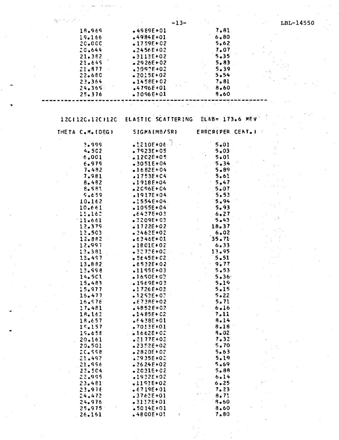|  |                  | $-13-$                                             |                   | LBL-14550 |
|--|------------------|----------------------------------------------------|-------------------|-----------|
|  | 18.969           | $-4989E + 01$                                      | 7.81              |           |
|  | 19.166           | $-4984E + 01$                                      | $6 - 80$          |           |
|  | 20.00C           | $-1759E + 02$                                      | 5.62              |           |
|  | 20.644           | $.2456E + 02$                                      | 7.07              |           |
|  | 21.382           | $-3113E+02$                                        | $5 - 35$          |           |
|  | 21.645           | $-2926E + 02$                                      | 5.83              |           |
|  | 21.877           | $.3092E+02$                                        | 5.39              |           |
|  | 22.68C           | $•2015E+02$                                        | 5.54              |           |
|  | 23.364<br>24.365 | $1458E + 02$<br>$.4796E + 01$                      | 7.81<br>8.60      |           |
|  | 25.376           | $-3096E + 01$                                      | 9.60              |           |
|  |                  |                                                    |                   |           |
|  |                  |                                                    |                   |           |
|  |                  | 12C(12C,12C)12C ELASTIC SCATTERING ELAB= 173.6 MEV |                   |           |
|  |                  |                                                    |                   |           |
|  | THETA C.M. (DEG) | SIGMA(MB/SR)                                       | ERROR(PER CENT.)  |           |
|  | 3.999            | $.1210E + 06$                                      | $5 - 01$          |           |
|  | $4 - 502$        | $-7923E + 05$                                      | 5.03              |           |
|  | 6,001            | $.1202E+05$                                        | 5.01              |           |
|  | 6.979            | $-3051E+04$                                        | $-5.34$           |           |
|  | 7.482            | $.1682E+04$                                        | 5.89              |           |
|  | 7.981            | $-1753E + C4$                                      | 5.61              |           |
|  | 8.482            | $.1918E + 04$                                      | 5.47              |           |
|  | 8.591            | $-2096E + 04$                                      | 5.07              |           |
|  | 5.659<br>10.162  | $.1917E + 04$<br>$-1554E + 04$                     | 5.53<br>$-5.94$   |           |
|  | 10.661           | $-1055E + 04$                                      | 5.93              |           |
|  | 11.162           | $6437E + 03$                                       | 6.27              |           |
|  | 11.661           | $-3209E + 03$                                      | 5.43              |           |
|  | 12.379           | $.1722E + 02$                                      | 18.37             |           |
|  | 12.503           | $-3462E + 02$                                      | 6.02              |           |
|  | 12.882           | $-6346E + 01$                                      | 35.71             |           |
|  | 12.997           | $.1801E+02$                                        | 6.33              |           |
|  | 13.381<br>13.497 | $3272E + 02$<br>$$5645E+02$                        | 13.95<br>$5 - 51$ |           |
|  | 13.882           | $6532E + 02$                                       | 9.77              |           |
|  | 13.998           | $-1195E+03$                                        | $5 - 53$          |           |
|  | 14.501           | $.1650E + 03$                                      | $5 - 36$          |           |
|  | 15,483           | $-1969E + 03$                                      | 5.19              |           |
|  | 15.977           | $.1726E+02$                                        | 5.15              |           |
|  | 16.477           | $.1253E + 03$                                      | $5 - 22$          |           |
|  | 16.578           | $.6738E+02$                                        | 5.71              |           |
|  | 17.481<br>18.163 | $64852E + 02$<br>$-1485E + C2$                     | $6 - 16$<br>7.11  |           |
|  | 18.657           | $-6438E + 01$                                      | 8.14              |           |
|  | 19.157           | $.7013E+01$                                        | 8.18              |           |
|  | 19.658           | $$1662E+02$                                        | $8 - 02$          |           |
|  | 20.161           | $.2177E+02$                                        | 7.32              |           |
|  | 20.501           | $-2352E + 02$                                      | $-5.70$           |           |
|  | $2C - 558$       | $-2820E+02$                                        | 5.63              |           |
|  | 21.492           | $2935E+02$                                         | 5.19              |           |
|  | 21.996           | $2624E + 02$                                       | $5 - 69$          |           |
|  | 22.504<br>22.995 | $-2031E+02$<br>$.1932E + 02$                       | $5 - 88$<br>6.14  |           |
|  | 23.481           | $-1193E+02$                                        | 6.25              |           |
|  | 23.978           | $.6719E + 01$                                      | 7.23              |           |
|  | 24.472           | $.3762E + 01$                                      | 8.71              |           |
|  | 24.976           | $-31.12E + 01$                                     | $8 - 60$          |           |
|  | 25.975           | $5014E + 01$                                       | 8.60              |           |
|  | 26.161           | $-4800E+01$<br>Ł                                   | 7.80              |           |
|  |                  |                                                    |                   |           |
|  |                  |                                                    |                   |           |
|  |                  |                                                    |                   |           |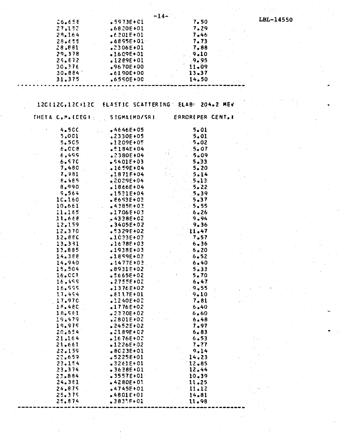|                   | -14-          |                                    |           |
|-------------------|---------------|------------------------------------|-----------|
| 26.658            | $-5973E + C1$ | 7.50                               | LBL-14550 |
| 27.152            | $.6820E + 01$ | .7.29                              |           |
| 28.164            | $.6201E+01$   | 7.46                               |           |
| 28.655            | $-6895E + 01$ | 7.73                               |           |
|                   |               |                                    |           |
| 28,881            | $.2306E + 01$ | 7.88                               |           |
| 29.378            | $-1609E + 01$ | 9.10                               |           |
| 25.872            | $.1289E + 01$ | .9.95                              |           |
| 30.376            | $.9670E + 00$ | 11.09                              |           |
| $30 - 884$        | $-6190E+00$   | $13 - 37$                          |           |
| 31.375            | $.6550E + 00$ | 14.50                              |           |
|                   |               |                                    |           |
|                   |               |                                    |           |
|                   |               |                                    |           |
|                   |               |                                    |           |
| 12C(12C, 12C)12C  |               | ELASTIC SCATTERING ELAB= 204.2 MEV |           |
|                   |               |                                    |           |
| THETA C.M. (DEG.) | SIGMA(MB/SR)  | <b>ERRORIPER CENT.I</b>            |           |
|                   |               |                                    |           |
| <b>4.50C</b>      | $-4646E + 05$ | 5.01                               |           |
| 5,001             | $.2330E + 05$ | 5.01                               |           |
| 5.505             | $-1209E + 05$ | $-5.02$                            |           |
| 6.008             | $.5184E+04$   | $-5.07$                            |           |
|                   |               |                                    |           |
| 6,499             | $.2380E + 04$ | 5.09                               |           |
| 6.570             | $$401E+03$    | 5.33                               |           |
| 7.480             | $-1659E + 04$ | $5 - 20$                           |           |
| 7,981             | $.1871E + 04$ | 5.14                               |           |
| 8.485             | $82029E+04$   | $.5 - 13$                          |           |
| 8,990             | $.1866E+04$   | 5.22                               |           |
| 9.564             |               |                                    |           |
|                   | $-1531E+04$   | 5.39                               |           |
| 10.160            | $.8693E + 03$ | 5.37                               |           |
| 10.661            | $-4385E + 03$ | $-5.55$                            |           |
| 11.165            | $-1706E + 03$ | 6.26                               |           |
| 11.668.           | $-4338E+02$   | 9.94                               |           |
| 12.159            | $-3405E + 02$ | 9.36                               |           |
| 12.370            | $-5329E + 02$ | 11.47                              |           |
| 12.880            | $-1033E+03$   | 7.57                               |           |
|                   |               |                                    |           |
| 13.331            | $.1678E + 03$ | 6.36                               |           |
| 13.885            | $.1938E + 03$ | 6.20                               |           |
| 14.388            | $.1859E+03$   | 6.52                               |           |
| 14.940            | $.1477E + 03$ | 6.40                               |           |
| 15.504            | $68931E+02$   | $5 - 33$                           |           |
| 16.001            | $.5665E + 02$ | 5.70                               |           |
| 16.499            | $$2755E+02$   | 6.47                               |           |
|                   |               |                                    |           |
| 16.999            | $.1376E+02$   | 9.55                               |           |
| 17.454            | $.6117E + 01$ | $9 - 10$                           |           |
| 17.970            | $-1240E + 02$ | 7.81                               |           |
| 18.480            | $.1776E+02$   | 6.40                               |           |
| 18.561            | $.2370E + 02$ | 6.60                               |           |
| 19.479            | .2801E+02     | 6.48                               |           |
| 19.979            | $2452E+02$    | 7.97                               |           |
| 20.654            | $.2189E+C2$   | $6 - 83$                           |           |
|                   |               |                                    |           |
| 21.164            | $-1676E + 02$ | $6 - 53$                           |           |
| 21.661            | $.1226E + 02$ | 7.77                               |           |
| 22.159            | $.8023E+01$   | 9.14                               |           |
| 22.659            | $-5225E + 01$ | 14.23                              |           |
| 23,154            | $-3262E + 01$ | 12.85                              |           |
| 23.374            | $-3638E + 01$ | 12.44                              |           |
| 22.884            | $-3557E + 01$ | 10.39                              |           |
|                   |               |                                    |           |
| 24.361            | $-4280E+03$   | 11.25                              |           |
| 24.875            | $.4745E + 01$ | 11.12                              |           |
| 25.379            | $-4801E+01$   | 14.81                              |           |
| 25.874            | $.3833E+01$   | 11.98                              |           |
|                   |               |                                    |           |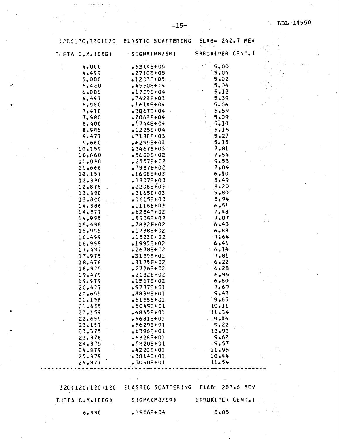$\beta_{\rm c}$  $\frac{1}{2}$ 

 $\mathcal{I}$ 

#### $ELAB = 242.7 MEV$ 120(120,120)120 ELASTIC SCATTERING

| THETA C.M. (DEG) | SIGMA(MB/SR)                                       | <b>ERROR(PER CENT.)</b> |  |
|------------------|----------------------------------------------------|-------------------------|--|
| 4,000            | $-5314E + 05$                                      | 5.00                    |  |
| 4.499            | $.2710E + 05$                                      | 5.04                    |  |
| 5.000            | •1233E+05                                          | 5.02                    |  |
| 5,420            | $-4550E + C4$                                      | 5.04                    |  |
| 6.006            | $.1729E + 04$                                      | 5.12                    |  |
| 6.457            | $1423E + 03$                                       | 5.39                    |  |
| 6.980            | $1614E + 04$                                       | 5.06                    |  |
| 7.478            | $.2067E + 04$                                      | 5.59                    |  |
| 7.980            | $•2063E+04$                                        | 5.09                    |  |
| $8 - 40C$        | $.1744E + 04$                                      | $5 - 10$                |  |
| 8.986            | $.1225E + 04$                                      | 5.16                    |  |
| 5.477            | $.7188E+03$                                        | $-5.27$                 |  |
| 5.660            | $6295E + 03$                                       | 5.15                    |  |
| 10.159           | $2467E + 03$                                       | 7.81                    |  |
| 10.660           | $-5600E + 02$                                      | 7.54                    |  |
| 11.080           | $2557E + 02$                                       | 9.53                    |  |
| 11.666           | $.7987E + 0.2$                                     | 7.04                    |  |
| 12.157           | $-1608E + 03$                                      | 6.10                    |  |
| 12.380           | $.1807E + 03$                                      | 5.49                    |  |
| 12.876           | $1.2206E + 0.3$                                    | 8.20                    |  |
| 13.380           | $\cdot$ 2165E+03                                   | 5.80                    |  |
| 13.800           | $-1615E + 03$                                      | 5.94                    |  |
| 14.386           | .1116E+03                                          | 6.51                    |  |
| 14.877           | $-6284E + 02$                                      | 7.48                    |  |
| 14.995           | $.5505E + 02$                                      | 7.07                    |  |
| 15.496           | $-2832E+02$                                        | 6.40                    |  |
| 15,995           | $.1738E+02$                                        | $6 - 88$                |  |
| 16.499           | $.1523E + 02$                                      | $-7.64$                 |  |
| 16.999           | .1995E+02                                          | 6.46                    |  |
| 17.497           | $2678E + 02$                                       | 6.14                    |  |
| 17.975           | .3139E+02                                          | 7.81                    |  |
| 18.476           | $-3175E+02$                                        | .6.22                   |  |
| 18.575.          | $.2726E + 02$                                      | 6.28                    |  |
| 19.479           | $.2132E + 02$                                      | 6.95                    |  |
| 19.979           | $-1537E+02$                                        | $6 - 80$                |  |
| 20.477           | $$57775+01$                                        | 7.69                    |  |
| 20.655           | .8839E+01                                          | 9.43                    |  |
| 21.156           | $.6156E + 01$                                      | 9.65                    |  |
| 21.655           | $.5045E + 01$                                      | 10.11                   |  |
| 22.159           | $-4845E + 01$                                      | 11.34                   |  |
| 22.655           | $• 5681E + 01$                                     | 9.14                    |  |
| 23.157           | $-5629E + 01$                                      | 9.22                    |  |
| 23.375           | $6396E + 01$                                       | 13.93                   |  |
| 23.876           | $-6328E + 01$                                      | $.9 - 62$               |  |
| 24.375           | $-5820E + 01$                                      | .9.57                   |  |
| 24.879           | $+42,20E+01$                                       | 11.95                   |  |
| .25.375          | $-3814E + 01$                                      | 10.44                   |  |
| 25.877           | $.3090E + 01$                                      | 11.54                   |  |
|                  |                                                    |                         |  |
|                  |                                                    |                         |  |
|                  | 12C(12C,12C)12C ELASTIC SCATTERING ELAB: 287.6 MEV |                         |  |
| THETA C.M. (CEG) | SIGMA(MB/SR)                                       | ERROR(PER CENT.)        |  |

 $.15C6E+04$ 

 $5,05$ 

6.990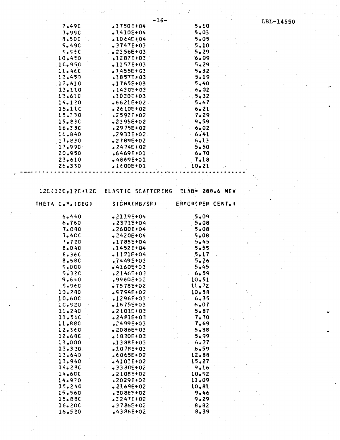| $-16-$<br>LBL-14550<br>$5 - 10$<br>7.490<br>$.1750E+04$<br>$5 - 03$<br>7.990<br>$.1410E+04$<br>8.500<br>$-5.05$<br>$•1064E+04$<br>$5 - 10$<br>9.490<br>$.3747E + 03$<br>5.29<br>9.55C<br>$-2356E + 03$<br>10.450<br>6.09<br>$.1287E+03$<br>5.29<br>10.950<br>$-1157E+03$<br>5.32<br>11.460<br>$.1455E + 03$<br>5.19<br>12.450<br>$.1857E + 03$<br>5.40<br>12.610<br>$.1765E + 03$<br>6.02<br>13.110<br>$.1430E + 03$<br>13.610<br>5.32<br>$.1030E + 03$<br>14.120<br>$5 - 67$<br>$.6621E+02$<br>15.11C<br>6.21<br>$-2610F + 02$<br>15.330<br>7.29<br>$.2592E + 02$<br>9.59<br>15.830<br>$-2395E + 02$<br>16.330<br>$6 - 02$<br>$.2975E + 02$<br>6.41<br>16.840<br>$$2933E+02$$<br>$6 - 13$<br>17.830<br>$-2789E+02$<br>5.50<br>17.990<br>$-2474E + 02$<br>20.950<br>6.70<br>$-6469E + 01$<br>7.18<br>23.610<br>$-4869E + 01$<br>10.21<br>26.330<br>$.1600E+01$<br>ELASTIC SCATTERING<br>$ELAB = 288.6$ MEV<br>12C(12C, 12C)12C<br>SIGMA(MB/SR)<br>ERPOR(PER CENT.)<br>THETA C.M. (DEG)<br>5.09<br>6.440<br>$2119E+04$<br>6.760<br>$-2371E + 04$<br>5.08<br>$5 - 08$<br>7.080<br>$-2600E + 04$<br><b>7.4CC</b><br>$-2420E + C4$<br>5.08<br>5.45<br>7.720<br>$-1785E + 04$<br>5.55<br>8.040<br>$.1452E + 04$<br>8.36C<br>$.1171F+04$<br>5.17<br>8.58C<br>5.26<br>$.7449E+03$<br>$5 - 45$<br>5.000<br>$-4160E + 03$<br>5.32C<br>6.59<br>$.2146E + 03$<br>9.640<br>10.51<br>$.9960E + 02$<br>$S - 960$<br>11.72<br>$-7578E + 02$<br>10.280<br>$.9754E + 02$<br>10.58<br>10.600<br>$.1296E + 03$<br>6.35<br>10.520<br>6.07<br>$-1675E + 03$<br>5.87<br>11.240<br>$-2101E+03$<br>7.70<br>11.560<br>$-2401E + 03$<br>11.880<br>7.69<br>$$2499E+03$<br>12.360<br>$5 - 88$<br>$-2086E+03$<br>12.680<br>5.99<br>$-18.30E + 0.3$<br>$-13,000$<br>$-13.88E+03$<br>6.27<br>13.320<br>$6 - 59$<br>$10.78E + 03$<br>13.640<br>12.88<br>$.6065E + 02$<br>15.27<br>13.960<br>$-4102E+02$<br>14:280<br>9.16<br>$-3380E+02$<br>14.60C<br>$-2108E+02$<br>10.92<br>11.09<br>14.970<br>$-2029E + 02$<br>15.240<br>10.81<br>$-2169E + 02$<br>9.46<br>15.560<br>$$30865+02$<br>15.88C<br>$-3247E + 02$<br>9.29<br>16.200<br>$.3786E+02$<br>8.82<br>16.520<br>$-4386E + 02$<br>8.39 |  |  |  |
|------------------------------------------------------------------------------------------------------------------------------------------------------------------------------------------------------------------------------------------------------------------------------------------------------------------------------------------------------------------------------------------------------------------------------------------------------------------------------------------------------------------------------------------------------------------------------------------------------------------------------------------------------------------------------------------------------------------------------------------------------------------------------------------------------------------------------------------------------------------------------------------------------------------------------------------------------------------------------------------------------------------------------------------------------------------------------------------------------------------------------------------------------------------------------------------------------------------------------------------------------------------------------------------------------------------------------------------------------------------------------------------------------------------------------------------------------------------------------------------------------------------------------------------------------------------------------------------------------------------------------------------------------------------------------------------------------------------------------------------------------------------------------------------------------------------------------------------------------------------------------------------------------------------------------------------------------------------------------------------------------------------------------------------------------------------------------------------------------------------------------------------------------------|--|--|--|
|                                                                                                                                                                                                                                                                                                                                                                                                                                                                                                                                                                                                                                                                                                                                                                                                                                                                                                                                                                                                                                                                                                                                                                                                                                                                                                                                                                                                                                                                                                                                                                                                                                                                                                                                                                                                                                                                                                                                                                                                                                                                                                                                                            |  |  |  |
|                                                                                                                                                                                                                                                                                                                                                                                                                                                                                                                                                                                                                                                                                                                                                                                                                                                                                                                                                                                                                                                                                                                                                                                                                                                                                                                                                                                                                                                                                                                                                                                                                                                                                                                                                                                                                                                                                                                                                                                                                                                                                                                                                            |  |  |  |
|                                                                                                                                                                                                                                                                                                                                                                                                                                                                                                                                                                                                                                                                                                                                                                                                                                                                                                                                                                                                                                                                                                                                                                                                                                                                                                                                                                                                                                                                                                                                                                                                                                                                                                                                                                                                                                                                                                                                                                                                                                                                                                                                                            |  |  |  |
|                                                                                                                                                                                                                                                                                                                                                                                                                                                                                                                                                                                                                                                                                                                                                                                                                                                                                                                                                                                                                                                                                                                                                                                                                                                                                                                                                                                                                                                                                                                                                                                                                                                                                                                                                                                                                                                                                                                                                                                                                                                                                                                                                            |  |  |  |
|                                                                                                                                                                                                                                                                                                                                                                                                                                                                                                                                                                                                                                                                                                                                                                                                                                                                                                                                                                                                                                                                                                                                                                                                                                                                                                                                                                                                                                                                                                                                                                                                                                                                                                                                                                                                                                                                                                                                                                                                                                                                                                                                                            |  |  |  |
|                                                                                                                                                                                                                                                                                                                                                                                                                                                                                                                                                                                                                                                                                                                                                                                                                                                                                                                                                                                                                                                                                                                                                                                                                                                                                                                                                                                                                                                                                                                                                                                                                                                                                                                                                                                                                                                                                                                                                                                                                                                                                                                                                            |  |  |  |
|                                                                                                                                                                                                                                                                                                                                                                                                                                                                                                                                                                                                                                                                                                                                                                                                                                                                                                                                                                                                                                                                                                                                                                                                                                                                                                                                                                                                                                                                                                                                                                                                                                                                                                                                                                                                                                                                                                                                                                                                                                                                                                                                                            |  |  |  |
|                                                                                                                                                                                                                                                                                                                                                                                                                                                                                                                                                                                                                                                                                                                                                                                                                                                                                                                                                                                                                                                                                                                                                                                                                                                                                                                                                                                                                                                                                                                                                                                                                                                                                                                                                                                                                                                                                                                                                                                                                                                                                                                                                            |  |  |  |
|                                                                                                                                                                                                                                                                                                                                                                                                                                                                                                                                                                                                                                                                                                                                                                                                                                                                                                                                                                                                                                                                                                                                                                                                                                                                                                                                                                                                                                                                                                                                                                                                                                                                                                                                                                                                                                                                                                                                                                                                                                                                                                                                                            |  |  |  |
|                                                                                                                                                                                                                                                                                                                                                                                                                                                                                                                                                                                                                                                                                                                                                                                                                                                                                                                                                                                                                                                                                                                                                                                                                                                                                                                                                                                                                                                                                                                                                                                                                                                                                                                                                                                                                                                                                                                                                                                                                                                                                                                                                            |  |  |  |
|                                                                                                                                                                                                                                                                                                                                                                                                                                                                                                                                                                                                                                                                                                                                                                                                                                                                                                                                                                                                                                                                                                                                                                                                                                                                                                                                                                                                                                                                                                                                                                                                                                                                                                                                                                                                                                                                                                                                                                                                                                                                                                                                                            |  |  |  |
|                                                                                                                                                                                                                                                                                                                                                                                                                                                                                                                                                                                                                                                                                                                                                                                                                                                                                                                                                                                                                                                                                                                                                                                                                                                                                                                                                                                                                                                                                                                                                                                                                                                                                                                                                                                                                                                                                                                                                                                                                                                                                                                                                            |  |  |  |
|                                                                                                                                                                                                                                                                                                                                                                                                                                                                                                                                                                                                                                                                                                                                                                                                                                                                                                                                                                                                                                                                                                                                                                                                                                                                                                                                                                                                                                                                                                                                                                                                                                                                                                                                                                                                                                                                                                                                                                                                                                                                                                                                                            |  |  |  |
|                                                                                                                                                                                                                                                                                                                                                                                                                                                                                                                                                                                                                                                                                                                                                                                                                                                                                                                                                                                                                                                                                                                                                                                                                                                                                                                                                                                                                                                                                                                                                                                                                                                                                                                                                                                                                                                                                                                                                                                                                                                                                                                                                            |  |  |  |
|                                                                                                                                                                                                                                                                                                                                                                                                                                                                                                                                                                                                                                                                                                                                                                                                                                                                                                                                                                                                                                                                                                                                                                                                                                                                                                                                                                                                                                                                                                                                                                                                                                                                                                                                                                                                                                                                                                                                                                                                                                                                                                                                                            |  |  |  |
|                                                                                                                                                                                                                                                                                                                                                                                                                                                                                                                                                                                                                                                                                                                                                                                                                                                                                                                                                                                                                                                                                                                                                                                                                                                                                                                                                                                                                                                                                                                                                                                                                                                                                                                                                                                                                                                                                                                                                                                                                                                                                                                                                            |  |  |  |
|                                                                                                                                                                                                                                                                                                                                                                                                                                                                                                                                                                                                                                                                                                                                                                                                                                                                                                                                                                                                                                                                                                                                                                                                                                                                                                                                                                                                                                                                                                                                                                                                                                                                                                                                                                                                                                                                                                                                                                                                                                                                                                                                                            |  |  |  |
|                                                                                                                                                                                                                                                                                                                                                                                                                                                                                                                                                                                                                                                                                                                                                                                                                                                                                                                                                                                                                                                                                                                                                                                                                                                                                                                                                                                                                                                                                                                                                                                                                                                                                                                                                                                                                                                                                                                                                                                                                                                                                                                                                            |  |  |  |
|                                                                                                                                                                                                                                                                                                                                                                                                                                                                                                                                                                                                                                                                                                                                                                                                                                                                                                                                                                                                                                                                                                                                                                                                                                                                                                                                                                                                                                                                                                                                                                                                                                                                                                                                                                                                                                                                                                                                                                                                                                                                                                                                                            |  |  |  |
|                                                                                                                                                                                                                                                                                                                                                                                                                                                                                                                                                                                                                                                                                                                                                                                                                                                                                                                                                                                                                                                                                                                                                                                                                                                                                                                                                                                                                                                                                                                                                                                                                                                                                                                                                                                                                                                                                                                                                                                                                                                                                                                                                            |  |  |  |
|                                                                                                                                                                                                                                                                                                                                                                                                                                                                                                                                                                                                                                                                                                                                                                                                                                                                                                                                                                                                                                                                                                                                                                                                                                                                                                                                                                                                                                                                                                                                                                                                                                                                                                                                                                                                                                                                                                                                                                                                                                                                                                                                                            |  |  |  |
|                                                                                                                                                                                                                                                                                                                                                                                                                                                                                                                                                                                                                                                                                                                                                                                                                                                                                                                                                                                                                                                                                                                                                                                                                                                                                                                                                                                                                                                                                                                                                                                                                                                                                                                                                                                                                                                                                                                                                                                                                                                                                                                                                            |  |  |  |
|                                                                                                                                                                                                                                                                                                                                                                                                                                                                                                                                                                                                                                                                                                                                                                                                                                                                                                                                                                                                                                                                                                                                                                                                                                                                                                                                                                                                                                                                                                                                                                                                                                                                                                                                                                                                                                                                                                                                                                                                                                                                                                                                                            |  |  |  |
|                                                                                                                                                                                                                                                                                                                                                                                                                                                                                                                                                                                                                                                                                                                                                                                                                                                                                                                                                                                                                                                                                                                                                                                                                                                                                                                                                                                                                                                                                                                                                                                                                                                                                                                                                                                                                                                                                                                                                                                                                                                                                                                                                            |  |  |  |
|                                                                                                                                                                                                                                                                                                                                                                                                                                                                                                                                                                                                                                                                                                                                                                                                                                                                                                                                                                                                                                                                                                                                                                                                                                                                                                                                                                                                                                                                                                                                                                                                                                                                                                                                                                                                                                                                                                                                                                                                                                                                                                                                                            |  |  |  |
|                                                                                                                                                                                                                                                                                                                                                                                                                                                                                                                                                                                                                                                                                                                                                                                                                                                                                                                                                                                                                                                                                                                                                                                                                                                                                                                                                                                                                                                                                                                                                                                                                                                                                                                                                                                                                                                                                                                                                                                                                                                                                                                                                            |  |  |  |
|                                                                                                                                                                                                                                                                                                                                                                                                                                                                                                                                                                                                                                                                                                                                                                                                                                                                                                                                                                                                                                                                                                                                                                                                                                                                                                                                                                                                                                                                                                                                                                                                                                                                                                                                                                                                                                                                                                                                                                                                                                                                                                                                                            |  |  |  |
|                                                                                                                                                                                                                                                                                                                                                                                                                                                                                                                                                                                                                                                                                                                                                                                                                                                                                                                                                                                                                                                                                                                                                                                                                                                                                                                                                                                                                                                                                                                                                                                                                                                                                                                                                                                                                                                                                                                                                                                                                                                                                                                                                            |  |  |  |
|                                                                                                                                                                                                                                                                                                                                                                                                                                                                                                                                                                                                                                                                                                                                                                                                                                                                                                                                                                                                                                                                                                                                                                                                                                                                                                                                                                                                                                                                                                                                                                                                                                                                                                                                                                                                                                                                                                                                                                                                                                                                                                                                                            |  |  |  |
|                                                                                                                                                                                                                                                                                                                                                                                                                                                                                                                                                                                                                                                                                                                                                                                                                                                                                                                                                                                                                                                                                                                                                                                                                                                                                                                                                                                                                                                                                                                                                                                                                                                                                                                                                                                                                                                                                                                                                                                                                                                                                                                                                            |  |  |  |
|                                                                                                                                                                                                                                                                                                                                                                                                                                                                                                                                                                                                                                                                                                                                                                                                                                                                                                                                                                                                                                                                                                                                                                                                                                                                                                                                                                                                                                                                                                                                                                                                                                                                                                                                                                                                                                                                                                                                                                                                                                                                                                                                                            |  |  |  |
|                                                                                                                                                                                                                                                                                                                                                                                                                                                                                                                                                                                                                                                                                                                                                                                                                                                                                                                                                                                                                                                                                                                                                                                                                                                                                                                                                                                                                                                                                                                                                                                                                                                                                                                                                                                                                                                                                                                                                                                                                                                                                                                                                            |  |  |  |
|                                                                                                                                                                                                                                                                                                                                                                                                                                                                                                                                                                                                                                                                                                                                                                                                                                                                                                                                                                                                                                                                                                                                                                                                                                                                                                                                                                                                                                                                                                                                                                                                                                                                                                                                                                                                                                                                                                                                                                                                                                                                                                                                                            |  |  |  |
|                                                                                                                                                                                                                                                                                                                                                                                                                                                                                                                                                                                                                                                                                                                                                                                                                                                                                                                                                                                                                                                                                                                                                                                                                                                                                                                                                                                                                                                                                                                                                                                                                                                                                                                                                                                                                                                                                                                                                                                                                                                                                                                                                            |  |  |  |
|                                                                                                                                                                                                                                                                                                                                                                                                                                                                                                                                                                                                                                                                                                                                                                                                                                                                                                                                                                                                                                                                                                                                                                                                                                                                                                                                                                                                                                                                                                                                                                                                                                                                                                                                                                                                                                                                                                                                                                                                                                                                                                                                                            |  |  |  |
|                                                                                                                                                                                                                                                                                                                                                                                                                                                                                                                                                                                                                                                                                                                                                                                                                                                                                                                                                                                                                                                                                                                                                                                                                                                                                                                                                                                                                                                                                                                                                                                                                                                                                                                                                                                                                                                                                                                                                                                                                                                                                                                                                            |  |  |  |
|                                                                                                                                                                                                                                                                                                                                                                                                                                                                                                                                                                                                                                                                                                                                                                                                                                                                                                                                                                                                                                                                                                                                                                                                                                                                                                                                                                                                                                                                                                                                                                                                                                                                                                                                                                                                                                                                                                                                                                                                                                                                                                                                                            |  |  |  |
|                                                                                                                                                                                                                                                                                                                                                                                                                                                                                                                                                                                                                                                                                                                                                                                                                                                                                                                                                                                                                                                                                                                                                                                                                                                                                                                                                                                                                                                                                                                                                                                                                                                                                                                                                                                                                                                                                                                                                                                                                                                                                                                                                            |  |  |  |
|                                                                                                                                                                                                                                                                                                                                                                                                                                                                                                                                                                                                                                                                                                                                                                                                                                                                                                                                                                                                                                                                                                                                                                                                                                                                                                                                                                                                                                                                                                                                                                                                                                                                                                                                                                                                                                                                                                                                                                                                                                                                                                                                                            |  |  |  |
|                                                                                                                                                                                                                                                                                                                                                                                                                                                                                                                                                                                                                                                                                                                                                                                                                                                                                                                                                                                                                                                                                                                                                                                                                                                                                                                                                                                                                                                                                                                                                                                                                                                                                                                                                                                                                                                                                                                                                                                                                                                                                                                                                            |  |  |  |
|                                                                                                                                                                                                                                                                                                                                                                                                                                                                                                                                                                                                                                                                                                                                                                                                                                                                                                                                                                                                                                                                                                                                                                                                                                                                                                                                                                                                                                                                                                                                                                                                                                                                                                                                                                                                                                                                                                                                                                                                                                                                                                                                                            |  |  |  |
|                                                                                                                                                                                                                                                                                                                                                                                                                                                                                                                                                                                                                                                                                                                                                                                                                                                                                                                                                                                                                                                                                                                                                                                                                                                                                                                                                                                                                                                                                                                                                                                                                                                                                                                                                                                                                                                                                                                                                                                                                                                                                                                                                            |  |  |  |
|                                                                                                                                                                                                                                                                                                                                                                                                                                                                                                                                                                                                                                                                                                                                                                                                                                                                                                                                                                                                                                                                                                                                                                                                                                                                                                                                                                                                                                                                                                                                                                                                                                                                                                                                                                                                                                                                                                                                                                                                                                                                                                                                                            |  |  |  |
|                                                                                                                                                                                                                                                                                                                                                                                                                                                                                                                                                                                                                                                                                                                                                                                                                                                                                                                                                                                                                                                                                                                                                                                                                                                                                                                                                                                                                                                                                                                                                                                                                                                                                                                                                                                                                                                                                                                                                                                                                                                                                                                                                            |  |  |  |
|                                                                                                                                                                                                                                                                                                                                                                                                                                                                                                                                                                                                                                                                                                                                                                                                                                                                                                                                                                                                                                                                                                                                                                                                                                                                                                                                                                                                                                                                                                                                                                                                                                                                                                                                                                                                                                                                                                                                                                                                                                                                                                                                                            |  |  |  |
|                                                                                                                                                                                                                                                                                                                                                                                                                                                                                                                                                                                                                                                                                                                                                                                                                                                                                                                                                                                                                                                                                                                                                                                                                                                                                                                                                                                                                                                                                                                                                                                                                                                                                                                                                                                                                                                                                                                                                                                                                                                                                                                                                            |  |  |  |
|                                                                                                                                                                                                                                                                                                                                                                                                                                                                                                                                                                                                                                                                                                                                                                                                                                                                                                                                                                                                                                                                                                                                                                                                                                                                                                                                                                                                                                                                                                                                                                                                                                                                                                                                                                                                                                                                                                                                                                                                                                                                                                                                                            |  |  |  |
|                                                                                                                                                                                                                                                                                                                                                                                                                                                                                                                                                                                                                                                                                                                                                                                                                                                                                                                                                                                                                                                                                                                                                                                                                                                                                                                                                                                                                                                                                                                                                                                                                                                                                                                                                                                                                                                                                                                                                                                                                                                                                                                                                            |  |  |  |
|                                                                                                                                                                                                                                                                                                                                                                                                                                                                                                                                                                                                                                                                                                                                                                                                                                                                                                                                                                                                                                                                                                                                                                                                                                                                                                                                                                                                                                                                                                                                                                                                                                                                                                                                                                                                                                                                                                                                                                                                                                                                                                                                                            |  |  |  |
|                                                                                                                                                                                                                                                                                                                                                                                                                                                                                                                                                                                                                                                                                                                                                                                                                                                                                                                                                                                                                                                                                                                                                                                                                                                                                                                                                                                                                                                                                                                                                                                                                                                                                                                                                                                                                                                                                                                                                                                                                                                                                                                                                            |  |  |  |
|                                                                                                                                                                                                                                                                                                                                                                                                                                                                                                                                                                                                                                                                                                                                                                                                                                                                                                                                                                                                                                                                                                                                                                                                                                                                                                                                                                                                                                                                                                                                                                                                                                                                                                                                                                                                                                                                                                                                                                                                                                                                                                                                                            |  |  |  |
|                                                                                                                                                                                                                                                                                                                                                                                                                                                                                                                                                                                                                                                                                                                                                                                                                                                                                                                                                                                                                                                                                                                                                                                                                                                                                                                                                                                                                                                                                                                                                                                                                                                                                                                                                                                                                                                                                                                                                                                                                                                                                                                                                            |  |  |  |
|                                                                                                                                                                                                                                                                                                                                                                                                                                                                                                                                                                                                                                                                                                                                                                                                                                                                                                                                                                                                                                                                                                                                                                                                                                                                                                                                                                                                                                                                                                                                                                                                                                                                                                                                                                                                                                                                                                                                                                                                                                                                                                                                                            |  |  |  |
|                                                                                                                                                                                                                                                                                                                                                                                                                                                                                                                                                                                                                                                                                                                                                                                                                                                                                                                                                                                                                                                                                                                                                                                                                                                                                                                                                                                                                                                                                                                                                                                                                                                                                                                                                                                                                                                                                                                                                                                                                                                                                                                                                            |  |  |  |
|                                                                                                                                                                                                                                                                                                                                                                                                                                                                                                                                                                                                                                                                                                                                                                                                                                                                                                                                                                                                                                                                                                                                                                                                                                                                                                                                                                                                                                                                                                                                                                                                                                                                                                                                                                                                                                                                                                                                                                                                                                                                                                                                                            |  |  |  |
|                                                                                                                                                                                                                                                                                                                                                                                                                                                                                                                                                                                                                                                                                                                                                                                                                                                                                                                                                                                                                                                                                                                                                                                                                                                                                                                                                                                                                                                                                                                                                                                                                                                                                                                                                                                                                                                                                                                                                                                                                                                                                                                                                            |  |  |  |
|                                                                                                                                                                                                                                                                                                                                                                                                                                                                                                                                                                                                                                                                                                                                                                                                                                                                                                                                                                                                                                                                                                                                                                                                                                                                                                                                                                                                                                                                                                                                                                                                                                                                                                                                                                                                                                                                                                                                                                                                                                                                                                                                                            |  |  |  |
|                                                                                                                                                                                                                                                                                                                                                                                                                                                                                                                                                                                                                                                                                                                                                                                                                                                                                                                                                                                                                                                                                                                                                                                                                                                                                                                                                                                                                                                                                                                                                                                                                                                                                                                                                                                                                                                                                                                                                                                                                                                                                                                                                            |  |  |  |
|                                                                                                                                                                                                                                                                                                                                                                                                                                                                                                                                                                                                                                                                                                                                                                                                                                                                                                                                                                                                                                                                                                                                                                                                                                                                                                                                                                                                                                                                                                                                                                                                                                                                                                                                                                                                                                                                                                                                                                                                                                                                                                                                                            |  |  |  |
|                                                                                                                                                                                                                                                                                                                                                                                                                                                                                                                                                                                                                                                                                                                                                                                                                                                                                                                                                                                                                                                                                                                                                                                                                                                                                                                                                                                                                                                                                                                                                                                                                                                                                                                                                                                                                                                                                                                                                                                                                                                                                                                                                            |  |  |  |
|                                                                                                                                                                                                                                                                                                                                                                                                                                                                                                                                                                                                                                                                                                                                                                                                                                                                                                                                                                                                                                                                                                                                                                                                                                                                                                                                                                                                                                                                                                                                                                                                                                                                                                                                                                                                                                                                                                                                                                                                                                                                                                                                                            |  |  |  |
|                                                                                                                                                                                                                                                                                                                                                                                                                                                                                                                                                                                                                                                                                                                                                                                                                                                                                                                                                                                                                                                                                                                                                                                                                                                                                                                                                                                                                                                                                                                                                                                                                                                                                                                                                                                                                                                                                                                                                                                                                                                                                                                                                            |  |  |  |
|                                                                                                                                                                                                                                                                                                                                                                                                                                                                                                                                                                                                                                                                                                                                                                                                                                                                                                                                                                                                                                                                                                                                                                                                                                                                                                                                                                                                                                                                                                                                                                                                                                                                                                                                                                                                                                                                                                                                                                                                                                                                                                                                                            |  |  |  |
|                                                                                                                                                                                                                                                                                                                                                                                                                                                                                                                                                                                                                                                                                                                                                                                                                                                                                                                                                                                                                                                                                                                                                                                                                                                                                                                                                                                                                                                                                                                                                                                                                                                                                                                                                                                                                                                                                                                                                                                                                                                                                                                                                            |  |  |  |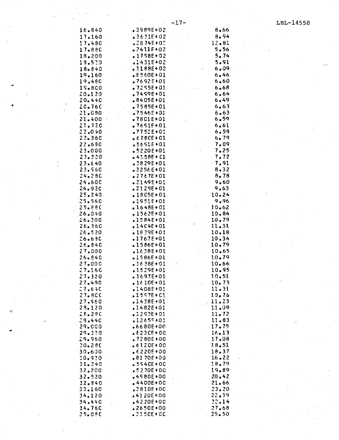| $16 - 840$ |                      | $-3989E+02$       |                                                                                     | 8.66      |  |
|------------|----------------------|-------------------|-------------------------------------------------------------------------------------|-----------|--|
| 17.160     |                      | $.3631E+02$       |                                                                                     | 8.94      |  |
|            |                      | <b>.2874E+02</b>  |                                                                                     | 12.81     |  |
| 17.480     |                      |                   |                                                                                     |           |  |
| 17.880     |                      | $.2411E+02$       |                                                                                     | $5 - 56$  |  |
| 18.200     |                      | $.1798E+02$       |                                                                                     | 5.74      |  |
| 19.520     |                      | $-1431E+02$       |                                                                                     | 5.91      |  |
| 18.840     |                      | $-1188E+02$       |                                                                                     | 6.09      |  |
| 19.160     |                      | $E560E + 01$      |                                                                                     | 6.46      |  |
| 19.480     |                      | $-7692E + 01$     |                                                                                     | 6.60      |  |
|            |                      |                   |                                                                                     |           |  |
| 19.800     |                      | $.27255E+01$      |                                                                                     | 6.68      |  |
| 20.120     |                      | $.7459E + 01$     |                                                                                     | 6.64      |  |
| 20.440     |                      | $.8405E + 01$     |                                                                                     | 6.49      |  |
| 20.760     |                      | $-2585E+01$       |                                                                                     | 6.63      |  |
| 21.080     |                      | .7546E+01         |                                                                                     | 6.63      |  |
| 21.400     | $\mathcal{F}_\alpha$ | $.7801E+01$       |                                                                                     | 6.59      |  |
| 21.720     |                      | $.7651E + 01$     |                                                                                     | 6.61      |  |
|            |                      |                   |                                                                                     |           |  |
| 22.040     |                      | $.7752E + 01$     |                                                                                     | 6.59      |  |
| 22.360     |                      | $6780E + C1$      |                                                                                     | 6.79      |  |
| 22.690     |                      | .5691E+01         |                                                                                     | 7.09      |  |
| 23.000     |                      | $.5220E+01$       |                                                                                     | 7.25      |  |
| 23.320     |                      | $-41.58E + C1$    |                                                                                     | 7.72      |  |
| 23.640     |                      | $-3829E + 01$     |                                                                                     | $-7.91$   |  |
| 23.560     |                      | $.3256E + 01$     |                                                                                     | $8 - 32$  |  |
| 24.280     |                      | $. 2767E + 01$    |                                                                                     | 8.78      |  |
|            |                      |                   |                                                                                     |           |  |
| 24.600     |                      | $.2149E+01$       |                                                                                     | 9.60      |  |
| $24 - 920$ |                      | $.2129E+01$       |                                                                                     | 9,63      |  |
| 25.240     |                      | $.18C5E+01$       |                                                                                     | 10.24     |  |
| 25.560     |                      | $-1951E+01$       |                                                                                     | 9.96      |  |
| 25.880     |                      | $.1648E+01$       |                                                                                     | 10.62     |  |
| 26.040     |                      | $.1562E+01$       |                                                                                     | 10.84     |  |
| 26.200     |                      | $.1584E+01$       |                                                                                     | 10.79     |  |
|            |                      | $.14C4E + 01$     |                                                                                     |           |  |
| $26 - 360$ |                      |                   |                                                                                     | 11.31     |  |
| 26.520     |                      | $.1839E+01$       |                                                                                     | 10.18     |  |
| 26.630     |                      | $.1767E + 01$     |                                                                                     | 10.34     |  |
| $26 - 840$ |                      | $-1586E+01$       |                                                                                     | $10 - 79$ |  |
| 27.000     |                      | $.1638E+01$       |                                                                                     | 10.65     |  |
| $26 - 840$ |                      | $-1586E + 01$     |                                                                                     | 10.79     |  |
| 27.000     |                      | $.1638E + 01$     |                                                                                     | 10.66     |  |
| 27.160     |                      | $.1529E + 01$     |                                                                                     | 10.95     |  |
| 27.320     |                      | $.1697E + 01$     |                                                                                     | 10.51     |  |
|            |                      |                   |                                                                                     |           |  |
| 27.480     |                      | $.1610E + 01$     | $\mathcal{A}^{\text{max}}_{\text{max}}$ and $\mathcal{A}^{\text{max}}_{\text{max}}$ | 10.73     |  |
| 27.640     |                      | $.1408E + 01$     |                                                                                     | 11.31     |  |
| 27.8CC     |                      | $.1597E + C3$     |                                                                                     | 10.76     |  |
| 27.560     |                      | .1438E+01         |                                                                                     | 11.23     |  |
| 28.120     |                      | $.1482E + 01$     |                                                                                     | 11.09     |  |
| 28.280     |                      | $-1293E + 01$     |                                                                                     | 11.72     |  |
| 28.440     |                      | $.1265E + 01$     |                                                                                     | 11.83     |  |
|            |                      |                   |                                                                                     | 17.75     |  |
| 29.000     |                      | $-6680E + 00$     |                                                                                     |           |  |
| 29.320     |                      | $E230E+00$        |                                                                                     | 16.13     |  |
| 29.960     |                      | $\cdot$ 37280E+00 |                                                                                     | 17.08     |  |
| $30 - 280$ |                      | $.6120E+00$       |                                                                                     | 18,51     |  |
| 30,600     |                      | $6220E + 00$      |                                                                                     | 18.37     |  |
| 30.920     |                      | $-8170E+00$       |                                                                                     | 16.22     |  |
| 31.240     |                      | $-5540E+0C$       |                                                                                     | 18.79     |  |
| 32.200     |                      | $.5270E + 00$     |                                                                                     | 19.89     |  |
|            |                      |                   |                                                                                     |           |  |
| 32.520     |                      | $.4980E + 00$     |                                                                                     | 20.42     |  |
| 32.840     |                      | $-4400E+0C$       |                                                                                     | 21.66     |  |
| 33.160     |                      | $.2810F + 0C$     |                                                                                     | 23.20     |  |
| 34.120     |                      | $-4120E+00$       |                                                                                     | 22.39     |  |
| 34.440     |                      | $-4220E+00$       |                                                                                     | 22.14     |  |
| 34.760     |                      | $•2650E+00$       |                                                                                     | 27.68     |  |
| 35.09C     |                      | $.2350E + CC$     |                                                                                     | 25.50     |  |
|            |                      |                   |                                                                                     |           |  |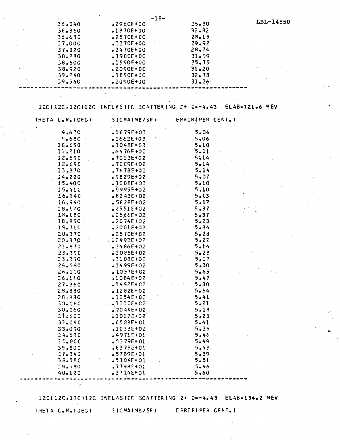|            | $-18-$        |           |           |
|------------|---------------|-----------|-----------|
| 36.040     | $32960E+0C$   | 26.30     | LBL-14550 |
| 36.360     | $.1870E+00$   | $32 - 82$ |           |
| 36.690     | $•2570E+CO$   | 28.15     |           |
| 37.00C     | $.2270E+00.$  | 29.92     |           |
| 37.320     | $-2470E + 00$ | $28 - 74$ |           |
| 38.280     | $.1980E+0C$   | 31.99     |           |
| 38.60C     | .1590E+00     | 35.75     |           |
| $38 - 920$ | $.2090E+0C$   | $31 - 20$ |           |
| 39.240     | $.1850E+0C$   | 32.78     |           |
| 39.560     | $2090E + 00$  | 31.26     |           |
|            |               |           |           |

12C(12C+12C)12C INELASTIC SCATTERING 2+ Q=-4.43 ELAB=121.6 MEV

| THETA C.M. (DEG) | <b>SIGMA(MB/SR)</b> | ERRCRIPER CENT. ) |  |
|------------------|---------------------|-------------------|--|
| 9.670            | $.1679E + 03$       | 5.06              |  |
| 9.68C            | $-1662E + 03$       | 5.06              |  |
| 10.650           | $-1048E+03$         | $5 - 10$          |  |
| 11.210           | $-6476E + 02$       | 5.11              |  |
| 12.690           | $-7012E+02$         | 5.14              |  |
| 12.690           | $-7009E + 02$       | 5.14              |  |
| 13.370           | $.76.78E + 02$      | 5.14              |  |
| 14.220           | $$6829E+02$         | $5 - 07$          |  |
| 15.400           | $.1008E + 03$       | 5.10              |  |
| 15.410           | $9995F+02$          | 5.10              |  |
| 16.140           | $.8242E+02$         | 5.13              |  |
| 16.540           | $-5828E+02$         | 5.12              |  |
| 18.170           | $.2551E+02$         | 5.37              |  |
| 18.180           | $-2566E+02$         | 5.37              |  |
| 18.85C           | $.2074E+02$         | 5.23              |  |
| 19.710           | $2001E+02$          | $-5.34$           |  |
| 20.37C           | $.2570E + C2$       | 5.28              |  |
| 20.370           | $2493E + 02$        | 5.22              |  |
| $21 - 870$       | $3486E+02$          | 5.14              |  |
| 23.35C           | $.2086E + 02$       | $5 - 23$          |  |
| 23.390           | $.2108E + 02$       | $5.17 -$          |  |
| 24.580           | $.1499E+02$         | $5 - 30$          |  |
| 26.110           | $.057E + 02$        | 5.65              |  |
| 26.110           | $1084E+02$          | 5.47              |  |
| $27 - 36C$       | $1452E + 02$        | $5 - 30$          |  |
| 28.890           | $1282E+02$          | 5.54              |  |
| 28.830           | $-1254E+02$         | 5.41              |  |
| $30 - 060$       | $-2230E+02$         | 5.21              |  |
| 30.060           | $82044E+02$         | 5.18              |  |
| 31.600           | $-1017E+02$         | 5.23              |  |
| 33.090           | $6583E + 01$        | 5.41              |  |
| 33.090           | .1C33E+02           | 5.35              |  |
| 34.620           | $-4971E + 01$       | 5.46              |  |
| 35.800           | $.5379E + 01$       | 5.49              |  |
| 35.800           | $E275E+01$          | 5.43              |  |
| 37.340           | $-5789E+01$         | $5 - 39$          |  |
| 38.580           | $-5104E+01$         | 5.51              |  |
| 38.580           | $.7748E+01$         | 5.46              |  |
| 40.120           | $-3714E + 01$       | $5 - 60$          |  |

12C(12C+1?C)12C INELASTIC SCATTERING 2+ Q=-4.43 ELAB=134.2 MEV

THETA C.M. (DEG)

SIGMA(MB/SR)

ERREFIPER CENT. )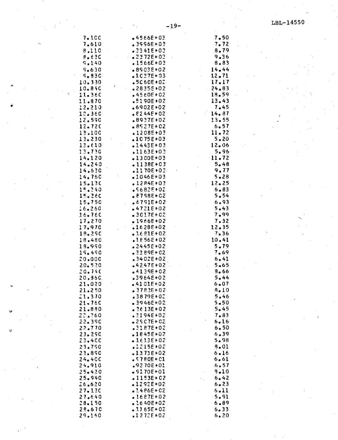| <b>7.100</b> | •4566E+03           | 7.50     |
|--------------|---------------------|----------|
| 7.610        | $.3996E + 0.3$      | 7.72     |
|              |                     |          |
| 8,110        | $-3341E + 03$       | 8.79     |
|              |                     |          |
| $8 - 63C$    | $\cdot$ .2372E+03   | $9 - 36$ |
| 9,140        | $.1566E+03$         | 8.83     |
|              |                     |          |
| 9.630        | $-8903E + 02$       | 14.44    |
|              |                     |          |
| 5.830        | $\ddotsc 1$ C27E+03 | 12.71    |
| 10.330       | $-5060E + 02$       | 17.17    |
|              |                     |          |
| 10.840       | $-2835E + 02$       | $-24.83$ |
| 11.360       | $-4560E + 02$       | 18.59    |
|              |                     |          |
| 11.870       | $-5190E + 02$       | 13.43    |
|              |                     |          |
| 12.210       | $.6902E + 02$       | 7.45     |
| 12.360       | $E244E+02$          | 14.87    |
|              |                     |          |
| 12.590       | •8937E+02           | 13.55    |
|              |                     |          |
| 12.720       | $-8527E + 02$       | 6.57     |
| 13,100       | $.1208E+03$         | 11.72    |
|              |                     |          |
| 13.230       | $-1075E + 03$       | 5.20     |
| 13.610       | $.1443E + 03$       | 12.06    |
|              |                     |          |
| 13.730       | $.1163E + 03$       | 5.96     |
|              |                     |          |
| 14.120       | $-1300E+03$         | $-11.72$ |
| 14.240       | $-1138E + C3$       | $5 - 48$ |
|              |                     |          |
| 14.530       | $.1170E + 03$       | 9.77     |
|              |                     |          |
| 14.760       | $.1046E + 03$       | 5.28     |
| 15.130       | $.1284E+03$         | 12.25    |
|              |                     |          |
| 15.240       | $$682E+02$          | $6 - 83$ |
|              |                     | 5.54     |
| 15.260       | $$8798E+02$         |          |
| 15.750       | $.6791E+02$         | 6.93     |
|              |                     |          |
| 16.260       | $-4721E + 02$       | 5.43     |
| 16.760       | $-3017E+02$         | 7.99     |
|              |                     |          |
| 17.270       | $-1966E + 02$       | 7.32     |
|              |                     |          |
| 17.970       | $-1628E+02$         | 12.35    |
| 18.290       | $.1681E+02$         | 7.36     |
|              |                     |          |
| 18.480       | $.1856E+02$         | 10.41    |
| 18.990       | $.2445E + 02$       | 5.79     |
|              |                     |          |
| 19.490       | $.3389E + 02$       | 7.69     |
|              |                     |          |
| 20.000       | $.3402E + 02$       | 6.41     |
| 20.520       | $-42.47E + 02$      | $5 - 65$ |
|              |                     |          |
| 20.740       | $.4139E + 02$       | .8.66    |
| 20,360       | .3964E+02           | 5.44     |
|              |                     |          |
| 21,020       | $-4101E+02$         | $6 - 07$ |
| 21.250       | <b>.</b> 3783E+02   | 8.10     |
|              |                     |          |
| 21,370       | $-3879E+02$         | 5.46     |
|              |                     |          |
| 21,760       | $-3946E + 02$       | $5 - 50$ |
| 21.880       | $-3613E + 02$       | 5.45     |
|              |                     |          |
| 22.260       | $.3194E + 02$       | 7.83     |
| 22.390       | $-2507E + 02$       | 6.16     |
|              |                     |          |
| 22.770       | $.3187E+02$         | 6.50     |
| 23.290       |                     | 6.39     |
|              | $-1845E + 02$       |          |
| 23.400       | $-1613E+02$         | 5.98     |
|              |                     |          |
| 23.790       | $.1215E + 02$       | 8.01     |
| 23.890       | $-1373E+02$         | 6.16     |
|              |                     |          |
| 24.400       | $.5780E + C1$       | 6.61     |
|              |                     |          |
| 24.910       | $.9270E + 01$       | 6.57     |
| 25.420       | $-9170E + 01$       | $9 - 10$ |
|              |                     |          |
| 25.940       | $-1153E+02$         | 6.42     |
| 26.620       | $-1292E + 02$       | $6 - 23$ |
|              |                     |          |
| 27.130       | $.1486E + C2$       | 6.11     |
| 27.640       | $.1687E + 02$       | $-5.91$  |
|              |                     |          |
| 28.150       | $.1640E + 02$       | $6 - 89$ |
|              | $-1165E+02$         |          |
| 28.670       |                     | 6.33     |
| 29.160       | $.1272E + 02$       | 6.20     |
|              |                     |          |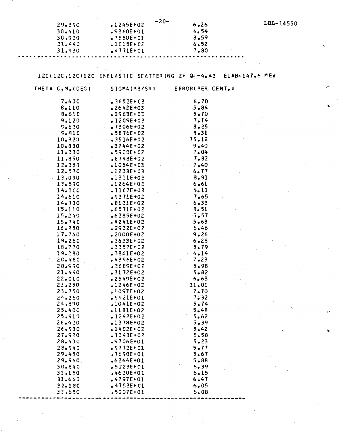$-20-$ 

|        | $-20-$        |          |  |
|--------|---------------|----------|--|
| 29.350 | $.1245E+02$   | $6 - 26$ |  |
| 30.410 | $.5360E + 01$ | 6.54     |  |
| 30.920 | $.7550E+01$   | 8.59     |  |
| 31.440 | $-1015E+02$   | 6.52     |  |
| 31.930 | $.4771E+01$   | 7.80     |  |
|        |               |          |  |

## IZC(12C,12C)12C INELASTIC SCATTERING 2+ Q=-4.43 ELAB=147.6 MEV

| THETA C.M. (DEG) | SIGMA(MB/SR)               | ERROR(PER CENT.) |  |
|------------------|----------------------------|------------------|--|
| 7.600            | $.3652E + C3$              | 6.70             |  |
| 8.110            | $-2642E + 03$              | $.5 - 84$        |  |
| $8 - 610$        | $-1963E + 03$              | 5.70             |  |
| 9.120            | $•1209E+03$                | 7.14             |  |
| 9.630            | $.7306E+02$                | $8 - 25$         |  |
| $9 - 810$        | $-5876E+02$                | 8.31             |  |
| 10.320           | .3516E+02                  | 15.12            |  |
| 10.830           | $-3744E+02$                | 9.40             |  |
| 11.330           | $-5920E+02$                | 7.04             |  |
| 11,850           | $.8748E + 02$              | 7.82             |  |
| 12.350           | $.1054E+03$                | $\sim 7.40$      |  |
| 12.57C           | $.1233E+03$                | 6.77             |  |
| 13.090           | $-1311E+03$                | 8.91             |  |
| 13.590           | $-1264E + 03$              | 6.61             |  |
| 14.1CC           | $.1167E + 03$              | 5.11             |  |
| 14.610           | $.5371E+02$                | 7.65             |  |
| 14.730           | $.8131E+02$                | 6.33             |  |
| 15.110           | $.6571E+02$                | 8.51             |  |
| 15.240           | $6285E + 02$               | $-5.57$          |  |
| 15.740           | $-4241E+02$                | $5 - 63$         |  |
| 16.250           | $.2932E+02$                | 6.46             |  |
| 17.760           | $2000E + 02$               | 9.26             |  |
| 18.260           | $.2633E + 02$              | $6 - 28$         |  |
| 18.770           | $3357E + 02$               | 5.79             |  |
| 19.280           | $.3861E+02$                | 6.14             |  |
| 20.480           | $-4396E+02$                | 7.23             |  |
| 20.990           | .3689E+02                  | 5.98             |  |
| 21.490           | $.3172E+02$                | $5 - 82$         |  |
| 22.010           | $$2549E+02$                | 6.63             |  |
| 23.250           | $.1246E + 02$              | 11.01            |  |
| 23.750           | $-1097E+02$                | 7.70             |  |
| 24.260           | $.5521E+01$                | 7.32             |  |
| 24.890           | $.1041E + 02$              | 5.74             |  |
| 25.400           | $-1181E+02$                | 5.48             |  |
| 25.910           | $.1242E+02$                | 5.62             |  |
| 26.420           | $.1378E+02$                | 5.39             |  |
| 26,530           | $-1402E + 02$              | $5 - 42$         |  |
| 27.920           | $-1343E + 02$              | 5.58             |  |
| 28.430           | .9706E+01                  | $5 - 23$         |  |
| $28 - 940$       | $$57.72E+01$               | 5.77             |  |
| 29.450           | $.7690E+01$                | 5.67             |  |
| 29.960           | $.6264E + 01$              | $5 - 88$<br>6.39 |  |
| 30.640<br>31.150 | .5123E+01<br>$-4620E + 01$ | 6.15             |  |
| 31.660           | .4797E+01                  | 6.47             |  |
| 32.18C           | $-4753E + C1$              | 6.05             |  |
| 32.680           | $$5007E+01$                | 6.08             |  |
|                  |                            |                  |  |

LBL-14550

 $\bar{\Omega}$ 

 $\ddot{\text{c}}$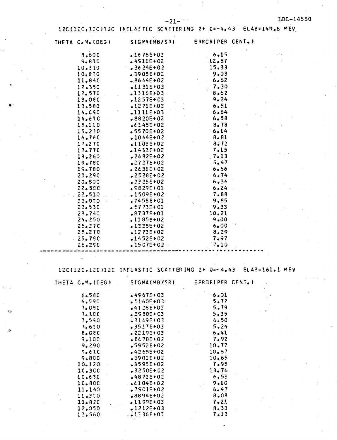### 12C(12C,12C)12C INELASTIC SCATTERING 2+ Q=-4.43 ELAB=149.8 MEV

| THETA C.M. (DEG) | SIGMA(MB/SR) ERRORIPER CENT.) |                                                     |  |
|------------------|-------------------------------|-----------------------------------------------------|--|
| 8,600            | $-1676E + 03$                 | $6 - 15$                                            |  |
| 9.810            | $-4513E+02$                   | 12.57                                               |  |
| 10.310           | $\frac{1}{2}$ 36 24E + 02     | 15.33                                               |  |
| 10.820           | $-3905E + 02$                 | 9.03                                                |  |
| 11.840           | $.8664E+02$                   | 6.62                                                |  |
| 12.350           | .1131E+03                     | 7.30                                                |  |
| 12.570           | $.1316E + 03$                 | $\frac{7.30}{8.62}$                                 |  |
| 13.060           | $.1257E + C3$                 | 9.24                                                |  |
| 13.580           | $.1271E + 03$                 | 6.51                                                |  |
| 14.090           | $.1111E+03$                   | 6.64                                                |  |
| 14.610           | $.8820E+02$                   | $6.58$<br>$8.78$<br>$6.7$                           |  |
| 15.110           | $6145E + 02$                  |                                                     |  |
| 15.220           | $-5570E+02$                   |                                                     |  |
| 16.760           | $.1064E+02$                   |                                                     |  |
| 17.270           | .1103E+02                     | $\begin{array}{c} 6.81 \\ 8.72 \\ 7.15 \end{array}$ |  |
| 17.77C           | $-1433E+02$                   |                                                     |  |
| 18.260           | $2682E+02$                    | 7.13                                                |  |
| 19.780           | $.2727E+02$                   | 5.47                                                |  |
| 19.780           | $-2631E+02$                   | 6.66                                                |  |
| 20.290           | $.2528E+02$                   | 6.74                                                |  |
| 20.800           | $\sqrt{23255+02}$             | 6.36                                                |  |
| 22.500           | $$5829E+01$                   | 6.24                                                |  |
| 22,510           | $. 1509E + 02$                | 7.88                                                |  |
| $23-020$         | $.7458E + 01$                 | 9.85                                                |  |
| 23.530           | $-5773E + 01$                 | $9 - 33$                                            |  |
| 23.740           | .8737E+01                     | 10.21                                               |  |
| 24.250           | $.1185E+02$                   | 9.00                                                |  |
| 25.270           | $-1335E+02$                   | 6.00                                                |  |
| 25.270           | $.1273E+02$                   | 8.29                                                |  |
| $-25.79C$        | $.1452E + 02$                 | 7.97                                                |  |
| 26.290           | $.1507E+02$                   | 7.10                                                |  |

12C(12C+12C)12C INELASTIC SCATTERING 2+ Q=-4.43 ELAB=161.1 MEV

| THETA C.M. (DEG) | SIGMA(MB/SR)  | ERROR(PER CENT.) |
|------------------|---------------|------------------|
| $6 - 580$        | $-4967E + 03$ | $6 - 01$         |
| 6.590            | $-5160F + 03$ | 5.72             |
| 7.080            | $-4126E+02$   | 5.79             |
| 7.1CC            | $-3580E + C3$ | $5 - 35$         |
| 7.590            | $.3169E + 03$ | 6.50             |
| 7.610            | $-3517E+03$   | 5.24             |
| 8.080            | $$2219E+03$   | $6 - 41$         |
| 9.100            | $.6678E + 02$ | 7.92             |
| 9.290            | $-5952E+02$   | 10.77            |
| 9.610            | $-4265E + 02$ | 10.67            |
| 9.800            | .3901E+02     | 10.65            |
| 10.120           | $-3595E+02$   | 7.95             |
| 10.300           | $.3250E + 02$ | 13.76            |
| 10.630           | $.4871E + 02$ | 6.53             |
| 10.800           | $.6104E + 02$ | 9.10             |
| 11.140           | $.7501E+02$   | 6.47             |
| 11.310           | $-8894E + 02$ | 8.08             |
| 11.820           | $.1199E + 03$ | 7.21             |
| 12.050           | $-1212E+03$   | 8, 33            |
| 12.560           | 1336E+03      | 7.13             |

 $\mathcal{L}$ 

 $\omega$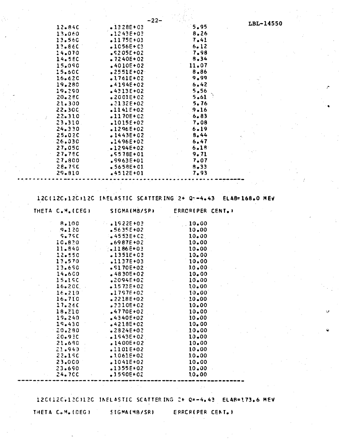|         | -22-          |          |
|---------|---------------|----------|
| 12.840  | $-1328E + 03$ | 5.95     |
| 13.060  | $.1243E + 03$ | 8.26     |
| 13.560  | $-1175E + 03$ | 7.41     |
| 13.860  | $-1056E + C3$ | 6.12     |
| 14.070  | $$5205E+02$   | 7.98     |
| 14.580  | $-7240E+02$   | 8,34     |
| 15.090  | $.4010E + 02$ | 11.07    |
| 15.600  | $•2551E+02$   | 8.86     |
| 16.620  | $.1761E+02$   | 9.99     |
| 19.280  | $.4194E+02$   | 6.42     |
| 19.290  | $.4313E+02$   | 5.56     |
| 20.280  | $.2001E+02$   | 5.61     |
| 21.300  | $.2132E+02$   | 5.76     |
| 22.30C  | $-1141E+02$   | $9 - 16$ |
| 22.310  | $-1170E+02$   | 6.83     |
| 23.310. | $.1015E+02$   | 7.08     |
| 24.330  | $.1296E+02$   | 6.19     |
| 25.020  | $-1443E+02$   | 8.44     |
| 26.030  | $.1496E + 02$ | 6.47     |
| 27.050  | $-1294E+02$   | 6.18     |
| 27.780  | $.5578E + 01$ | 9.71     |
| 27.800  | $.9963E+01$   | 7.07     |
| 28.75C  | $-5658E + 01$ | $8 - 33$ |
| 29.810  | $.4512E+01$   | 7.93     |
|         |               |          |

120(120,120)120 INELASTIC SCATTERING 2+ Q--4.43 ELAB=168.0 MEV

| THETA C.M. (CEG) | <b>SIGMA(MB/SR)</b> | <b>ERRORIPER CENT.I</b> |  |
|------------------|---------------------|-------------------------|--|
| 8.100            | $\bullet$ 1922E+03  | 10.00                   |  |
| 9.120            | $.5635E + 02$       | 10.00                   |  |
| <b>S.75C</b>     | $4553E + C2$        | 10.00                   |  |
| 10.820           | $.6987E + 02$       | 10.00                   |  |
| 11.840           | $3.1186E+03$        | $10 - 00$               |  |
| 12.550           | $.1351E+03$         | 10.00                   |  |
| 13.570           | $1137E+03$          | 10.00                   |  |
| 13.690           | $.5170E+02$         | 10.00                   |  |
| 14.600           | $-4830E+02$         | 10.00                   |  |
| 15.190           | .2094E+02           | $10 - 00$               |  |
| 16.20C           | $.1573E+02$         | 10.00                   |  |
| 16.210           | $.1797E + 02$       | 10,00                   |  |
| 16.710           | $.2218E+02$         | 10.00                   |  |
| 17.260           | .2310E+02           | 10.00                   |  |
| 18.210           | $4770E+02$          | 10.00                   |  |
| 19.240           | $.4340E + 02$       | $10 - 00$               |  |
| 19.430           | $4218E+02$          | 10.00                   |  |
| $-20.280$        | $-2824E+02$         | 10.00                   |  |
| 20.93C           | $.1543E+02$         | 10.00                   |  |
| 21.690           | $.1400E+02$         | 10.00                   |  |
| 21.940           | $.1101E+02$         | 10.00                   |  |
| 22.190           | $.1061E+02$         | 10.00                   |  |
| 23.000           | $.1041E+02$         | 10.00                   |  |
| 23.690           | $.1355E+02$         | 10.00                   |  |
| <b>24.700</b>    | $.1550E+02$         | 10.00                   |  |

12C(12C,12C)12C INELASTIC SCATTERING 2+ Q=-4.43 ELAB=173.6 MEV

THETA C.M. (DEG) SIGMA (MB/SR)

ERRERIPER CENT. )

LBL-14550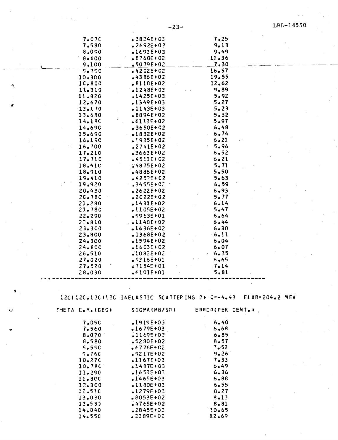ú.

 $\sim 10$ 

 $\ddot{\phantom{1}}$ 

 $\pmb{\phi}$ 

 $\bar{\mathbf{G}}$ 

 $\tilde{\mathcal{A}}$ 

| 7.07C                                                           | $-3824E + 03$                   | 7.25                    |  |
|-----------------------------------------------------------------|---------------------------------|-------------------------|--|
| 7.580                                                           | $.2692E + 03$                   | 9.13                    |  |
| 8.090                                                           | $-1691E + 03$                   | 9.49                    |  |
| 8.600                                                           | $$8760E+02$                     | 11.36                   |  |
| 9.100                                                           | $-5079E + 02$                   | 7.30                    |  |
| 5.79C                                                           | $-4202E + C2$                   | 16.57                   |  |
| 10.300                                                          | $-4386E + 02$                   | 19.55                   |  |
| 10.800                                                          | $.8118E+02$                     | 12.62                   |  |
| 11.310                                                          | $.1248E + 03$                   | 9.89                    |  |
| 11.820                                                          | $.1425E + 03$                   | 5.92                    |  |
| 12.670                                                          | $.1349E + 03$                   | 5.27                    |  |
| 13.170                                                          | $.1143E + 03$                   | 5.23                    |  |
| 13.690                                                          | $-8894E+02$<br>$.6113E+02$      | 5.32<br>5.97            |  |
| 14.190<br>14.690                                                | $-3650E+02$                     | $-6.48$                 |  |
| 15.690                                                          | $-1832E+02$                     | 6.74                    |  |
| 16.190                                                          | $.1935E + 02$                   | 6.21                    |  |
| 16.700                                                          | $.2741E + 02$                   | 5.96                    |  |
| 17.210                                                          | $-3663E + 02$                   | 6.52                    |  |
| 17.710                                                          | $-4511E+02$                     | 6.21                    |  |
| 18.410                                                          | $.4875E + 02$                   | 5.71                    |  |
| 18.910                                                          | $-4886E+02$                     | $5 - 50$                |  |
| 19.410                                                          | $-4253E + C2$                   | $5 - 63$                |  |
| 19.920                                                          | $.3455E + 0.2$                  | 6.59                    |  |
| 20.430                                                          | $$2622E+02$                     | 6.93                    |  |
| 2C.78C                                                          | $2022E + 02$                    | 5.77                    |  |
| 21.280                                                          | $-1431E+02$                     | 6.14                    |  |
| 23.78C                                                          | $-1105E+02$                     | 5.47                    |  |
| 22.290                                                          | $.9963E + 01$                   | 6.64                    |  |
| $27 - 810$                                                      | $-1148E+02$                     | 6.44                    |  |
| $23 - 300$                                                      | .1636E+02                       | $6 - 30$                |  |
| 23.800                                                          | $.1368E+02$                     | $-6.11$                 |  |
| 24.300                                                          | $.1594E + 02$                   | 6.04                    |  |
| $-24.8CC$<br>$-26.510$                                          | $-1603E + C2$<br>$.1082E + 0.2$ | 6.07<br>6.35            |  |
| 27.020                                                          | $$316E+01$                      | 6.65                    |  |
| 27.520                                                          | $.7154E + 01$                   | 7.14                    |  |
| 28.030                                                          | $•6101E+01$                     | 5.81                    |  |
|                                                                 |                                 |                         |  |
|                                                                 |                                 |                         |  |
|                                                                 |                                 |                         |  |
| 12CI12C, 12CI12C INELASTIC SCATTERING 2+ Q=-4.43 ELAB=204.2 MEV |                                 |                         |  |
|                                                                 |                                 |                         |  |
| THETA C.M. (DEG)                                                | SIGMA(MB/SR)                    | <b>ERROR(PER CENT.)</b> |  |
| 7,050                                                           | $.1919E + 03$                   | 6.40                    |  |
| 7.560                                                           | $-1679E + 03$                   | 6.68                    |  |
| 8.070                                                           | $.1169E + 03$                   | 6.85                    |  |
| 8.580                                                           | $-5280E + 02$                   | 8,57                    |  |
| 5.55C                                                           | $.6776E + C2$                   | 7.52                    |  |
| 9.760                                                           | $$9217E+02$                     | 9.26                    |  |
| 10.270                                                          | $.1167E + 03$                   | 7.33                    |  |
| 10.780                                                          | $-1487E + 03$                   | 6.49                    |  |
| 11.290                                                          | $.1653E + 03$                   | 6.36                    |  |
| 11.800                                                          | $-1465E + 03$                   | $6 - 88$                |  |
| 12.300                                                          | $.1180E + 03$                   | 6.55                    |  |
| 12.510                                                          | $.1279E + 03$                   | 8.27                    |  |
| 13.030                                                          | $-8053E + 02$                   | $8 - 13$                |  |
| 13.530                                                          | $-4765E + 02$                   | 8.81                    |  |
| 14.040                                                          | $$2845E+02$$                    | 10.65                   |  |
| 14.550                                                          | $-2389E+02$                     | 12.69                   |  |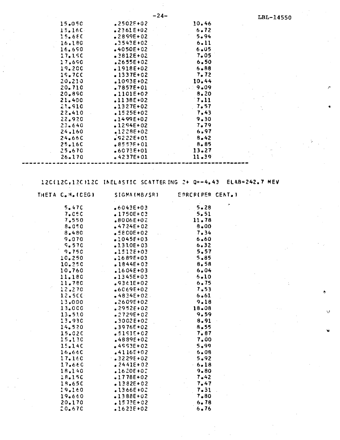|        | $-24-$        |          | LBL-14550 |
|--------|---------------|----------|-----------|
| 15.050 | $.2502E + 02$ | 10.46    |           |
| 15.160 | $2361E+02$    | 6.72     |           |
| 15.65C | $2899E+02$    | 5.94     |           |
| 16.180 | $.3543E + 02$ | 6.11     |           |
| 16.690 | $-4050E + 02$ | 6.05     |           |
| 17.190 | $.2812E+02$   | 7.05     |           |
| 17,690 | $2655E + 02$  | 6.50     |           |
| 19.200 | $.1918E+02$   | $6 - 88$ |           |
| 19.7CC | $-1337E+02$   | 7.72     |           |
| 20,210 | $.1093E + 02$ | 10.44    |           |
| 20.710 | $.7857E+01$   | 9.09     |           |
| 20.890 | $.1101E+02$   | 8.20     |           |
| 21.400 | $.1138E+02$   | 7.11     |           |
| 21.910 | $.1327E+02$   | 7.57     |           |
| 22.410 | $.1525E+02$   | 7.43     |           |
| 22.920 | $.1499E + 02$ | 9.30     |           |
| 23.640 | $•1294E+02$   | 7.79     |           |
| 24.160 | 1228E+02      | 6.97     |           |
| 24.66C | $$9222E+01$   | $8 - 42$ |           |
| 25.160 | $.8553E+01$   | 8.85     |           |
| 25.670 | $.6073E + 01$ | 13.27    |           |
| 26.170 | $-4237E + 01$ | 11.39    |           |

12C(12C,12C)12C INELASTIC SCATTERING 2+ Q=-4.43 **ELAB=242.7 MEV** 

| THETA C.M. (DEG) | SIGMA (MB/SR)  | ERRERIPER CENT. )                                                                         |  |
|------------------|----------------|-------------------------------------------------------------------------------------------|--|
| 5.470            | $.6043E + 03$  | $5 - 28$                                                                                  |  |
| <b>7.050</b>     | $.1750E + 03$  | 5.51                                                                                      |  |
| 7.550            | $.8006E + 02$  | 11.78                                                                                     |  |
| 8.050            | $-4724E+02$    | $8 - 00$                                                                                  |  |
| 8.480            | $-5800E+02$    | 7.34                                                                                      |  |
| 9.070            | $-1045E + 03$  | 6.60                                                                                      |  |
| 5.570            | $.1310E+03$    | 6.32                                                                                      |  |
| 9.750            | $.1512E + 03$  | 5.57                                                                                      |  |
| 10.250           | $.1689E+03$    | 5.85                                                                                      |  |
| 10.250           | $1844E+03$     | 8.58                                                                                      |  |
| 10,760           | $.1604E + 03$  | 6.04<br>$\mathcal{L}^{\text{max}}_{\text{max}}$ , $\mathcal{L}^{\text{max}}_{\text{max}}$ |  |
| 11.180           | $-1345E + 03$  | $6 - 10$                                                                                  |  |
| 11.780           | $.9361E+02$    | 6.75                                                                                      |  |
| 12.270           | $.6069E+02$    | 7.53                                                                                      |  |
| 12,500           | $-4834E+02$    | 6.61                                                                                      |  |
| 13,000           | $.2609E + 02$  | 9.18                                                                                      |  |
| 13.000           | $.2952E + 02$  | 18.08                                                                                     |  |
| 13.510           | $.2729E + 02$  | 9.59                                                                                      |  |
| 13.930           | $.3002E + 02$  | 8.91                                                                                      |  |
| 14.520           | $.3976E+02$    | $8 - 55$                                                                                  |  |
| 15.020           | $-5151E+02$    | 7.87<br>$\sim 10^{-1}$                                                                    |  |
| 15,130           | $-4889E+02$    | 7.00                                                                                      |  |
| 15.140           | $+4553E+02$    | 5.99                                                                                      |  |
| 16.660           | $.4116E+02$    | 5.08                                                                                      |  |
| 17.160           | $.3229E+02$    | 5.92                                                                                      |  |
| 17.660           | $.2441E+02$    | 6.18                                                                                      |  |
| 18.140           | $.1620E + 0.2$ | 9.80                                                                                      |  |
| 18.150           | $.1778E+02$    | 7.42                                                                                      |  |
| 18.650           | $.1382E+02$    | $\frac{7.47}{1}$                                                                          |  |
| 19.160           | $.1366E + 0.2$ | 7.31                                                                                      |  |
| 19.660           | $-1388E+02$    | 7.80                                                                                      |  |
| 20.170           | $.1573E+02$    | 6.78                                                                                      |  |
| 20.670           | $.1623E + 02$  | 6.76                                                                                      |  |

 $\mathcal{L}_{\mathcal{L}}$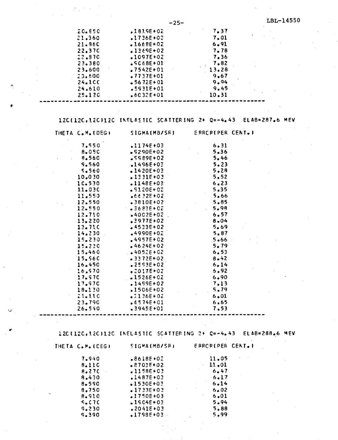| 20.650            | $.1819E + 02$ | 7.37     |            |
|-------------------|---------------|----------|------------|
| 21,360            | $.1736E + 02$ | 7.01     | $\epsilon$ |
| 21.860            | $.1668E + 02$ | $6 - 91$ |            |
| 22.37C            | $1369E + 02$  | 7.78     |            |
| 22.870            | $.1097E+02$   | 7.36     |            |
| 23.380            | $SC68E + 01$  | 7.82     |            |
| 23.600            | $.7542E+01$   | 13.28    |            |
| 23.600            | $.7737E+01$   | 9.67     |            |
| 24.1 <sub>C</sub> | $-5672E + 01$ | 9.94     |            |
| 24.610            | $.5931E+01$   | 9.45     |            |
| 25.120            | $.6032E+01$   | 10.31    |            |
|                   |               |          |            |

Ą

12C(12C,12C)12C INELASTIC SCATTERING 2+ Q=-4.43 ELAB=287.6 MEV

| THETA C.M. (DEG) | <b>SIGMA(MB/SR)</b> | ERRCRIPER CENT.I |
|------------------|---------------------|------------------|
| 7.550            | .1174E+03           | 6.31             |
| 8.050            | $-$ \$290E+02       | $5 - 36$         |
| 8.560            | $$5989E+02$         | 5.46             |
| 9.560            | $.1496E + 03$       | 5.23             |
| 5.560            | $.1420E + 03$       | 5.28             |
| 10.030           | $.1331E+03$         | 5.52             |
| 1C.530           | $.1148E + 03$       | 6.23             |
| 11.030           | $.9120E+02$         | 5.35             |
| 11.550           | $6632E + 02$        | 5.66             |
| 12.550           | $-3810E+02$         | 5.85             |
| 12.550           | $-0.3683E + 0.2$    | 5.98             |
| 12.710           | $-4002E+02$         | 6.57             |
| 13.220           | $.2977E + 02$       | $8 - 04$         |
| 13.710           | $.4533E+02$         | 5.69             |
| 14.230           | 4990E+02            | 5.87             |
| 15.230           | .4957E+02           | 5.66             |
| 15.230           | $-4624E + 02$       | 5.79             |
| 15.460           | $.4052E + 02$       | 6.53             |
| 15.56C           | $-3372E + 02$       | $8 - 42$         |
| 16.450           | $.2593E+02$         | 6.14             |
| 16.970           | $.2017E+02$         | 5.92             |
| 17.97C           | $.1526E+02$         | $6 - 90$         |
| 17.970           | $.1499E+02$         | 7.13             |
| 18.130           | •1506E+02           | 5.79             |
| 21.110           | $.2136E + 02$       | $6 - 01$         |
| 23.790           | $.6574E + 01$       | 6.65             |
| 26.540           | $.3945E + 01$       | 7.53             |

120(120,120)120 INELASTIC SCATTERING 2+ Q=-4.43 ELAB=288.6 MEV

 $\bullet$ 

| THETA C.M. (CEG) | <b>SIGMA(MB/SR)</b> | <b>ERROR(PER CENT</b> |
|------------------|---------------------|-----------------------|
| 7.940            | $.8618F + 0.2$      | 11.05                 |
| 8.110            | $.8703E + 02$       | 11.01                 |
| 8.27C            | $.1158E + 03$       | 6.47                  |
| 8.430            | $.1487E + 03$       | 6.17                  |
| 8.590            | $-1530E + 03$       | $6 - 14$              |
| 8,750            | $.1733E + 03$       | 6.02                  |
| 8.910            | $1750E + 03$        | 6.01                  |
| 5.07C            | $.1504E + 03$       | 5.94                  |
| 9.230            | $.2041E+03$         | 5.88                  |
| 9.390            | $-1798E + 03$       | 5.99                  |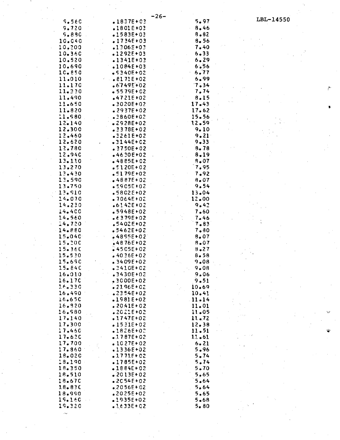|            |                        | $-26-$ |          |           |
|------------|------------------------|--------|----------|-----------|
| 5.560      | $-1837E + 03$          |        | 5.97     | LBL-14550 |
| 9.720      | $.1801E+03$            |        | 8.46     |           |
| 9.880      | $-1583E + 03$          |        | $8 - 82$ |           |
| 10.040     | $.1734E+03$            |        | 8.56     |           |
|            | $.1306E+03$            |        | 7.40     |           |
| 10.200     |                        |        |          |           |
| 10.360     | $-1292E + 03$          |        | $6 - 33$ |           |
| 10.520     | $-1341E + 03$          |        | 6.29     |           |
| 10.690     | $.1084E+03$            |        | 6.56     |           |
| 10.850     | $-5340E + 02$          |        | 6.77     |           |
| 11.010     | $.8171E+02$            |        | 6.99     |           |
| 11.170     | $.6749E + 02$          |        | 7.34     |           |
| 11.330     | $-5579E + 02$          |        | 7.74     |           |
| 11.490     | $-4721E + 02$          |        | 8.15     |           |
| 11.650     | $-3020E + 02$          |        | 17.43    |           |
| 11.820     | $-2937E + 02$          |        | 17.62    |           |
| 11.980     | $.3860E+02$            |        | 15.56    |           |
| 12.140     | .2928E+02              |        | 12.59    |           |
| 12.300     | $-2378E + 02$          |        | 9.10     |           |
| 12.460     | .3261E+02              |        | 9.21     |           |
| 12.620     | $-3144E + 02$          |        | $9 - 33$ |           |
|            |                        |        |          |           |
| 12.780     | $.2750E + 02$          |        | $8 - 78$ |           |
| 12.940     | $-4630E + 02$          |        | $8 - 19$ |           |
| 13.110     | $+4885E+02$            |        | 8,07     |           |
| 13.270     | $$5120E+02$            |        | 7.95     |           |
| 13.430     | $-5179E + 02$          |        | 7.92     |           |
| 13.590     | $-4887E+02$            |        | $8 - 07$ |           |
| 13.750     | $.5905E+02$            |        | 9.54     |           |
| 13.910     | $$5802E+02$            |        | 13.04    |           |
| 14.070     | $.7064E + 02$          |        | 12.00    |           |
| 14.230     | $.6142E + 02$          |        | 9.42     |           |
| 14.400     | $-5948E + 02$          |        | 7.60     |           |
| 14.560     | $.6379E + 02$          |        | 7.46     |           |
| 14.720     | $.5402E + 02$          |        | 7.83     |           |
| 14.880     | $-5462E + 02$          |        | 7.80     |           |
| 15.040     | $-4855E + 02$          |        | 8.07     |           |
| 15.200     | <b>4876E+02</b>        |        | 8.07     |           |
| $15 - 360$ | $\frac{2}{9}$ 4505E+02 |        | $8 - 27$ |           |
| 15.530     | $-4036E+02$            |        | 8.58     |           |
| 15.690     | $-3409E + 02$          |        | 9.08     |           |
|            |                        |        |          |           |
| $15 - 840$ | $-3410E + C2$          |        | 9.08     |           |
| 16.010     | .3430E+02              |        | 9.06     |           |
| 16.170     | $-3000E + 02$          |        | 9.51     |           |
| 16,330     | $-2196E+02$            |        | 10.69    |           |
| 16.490     | $$2354E+02$            |        | 10.4!    |           |
| 16.650     | $-1981E+02$            |        | 11.14    |           |
| 16.820     | $.20.41E + 02$         |        | 11.01    |           |
| 16.980     | $2021E+02$             |        | 11.05    |           |
| 17.140     | $.1747E+02$            |        | 11.72    |           |
| 17.300     | $-1531E+02$            |        | 12.38    |           |
| 17.460     | $-1826E + 02$          |        | 11.51    |           |
| 17.620     | $.1787E+02$            |        | 11.61    |           |
| 17.700     | $-1027E+02$            |        | 6.21     |           |
| 17.860     | $-1336E+02$            |        | 5.96     |           |
| 18.020     | $.1771E + 02$          |        | 5.74     |           |
| 18.190     | $-1785E+02$            |        | 5.74     |           |
| 18.350     | $-1884E+02$            |        | 5.70     |           |
| 18.510     | $-2013E+02$            |        | 5.65     |           |
| 18.670     | $-2054E+02$            |        | 5.64     |           |
| 18.830     | $-2056E + 02$          |        | 5.64     |           |
| 18.990     | $$2025E+02$            |        | 5.65     |           |
| 19.160     | $-1935E + 02$          |        | 5.68     |           |
| 19.320     | $.1633E + 02$          |        | $5 - 80$ |           |
|            |                        |        |          |           |
| $\sim$     |                        |        |          |           |

 $\vec{P}^{\pm}$ 

 $\hat{\mathbf{w}}$ 

 $\hat{\mathbb{W}}$ 

 $\label{eq:2} \frac{1}{\sqrt{2}}\sum_{i=1}^n\frac{1}{\sqrt{2}}\sum_{i=1}^n\frac{1}{\sqrt{2}}\sum_{i=1}^n\frac{1}{\sqrt{2}}\sum_{i=1}^n\frac{1}{\sqrt{2}}\sum_{i=1}^n\frac{1}{\sqrt{2}}\sum_{i=1}^n\frac{1}{\sqrt{2}}\sum_{i=1}^n\frac{1}{\sqrt{2}}\sum_{i=1}^n\frac{1}{\sqrt{2}}\sum_{i=1}^n\frac{1}{\sqrt{2}}\sum_{i=1}^n\frac{1}{\sqrt{2}}\sum_{i=1}^n\frac{1$ 

 $\frac{1}{2} \frac{1}{2} \frac{1}{2}$ 

 $\sim$   $\sim$ 

 $\frac{1}{\sqrt{2}}$ 

 $\label{eq:2} \frac{1}{\sqrt{2}}\sum_{i=1}^n\frac{1}{\sqrt{2}}\sum_{i=1}^n\frac{1}{\sqrt{2}}\sum_{i=1}^n\frac{1}{\sqrt{2}}\sum_{i=1}^n\frac{1}{\sqrt{2}}\sum_{i=1}^n\frac{1}{\sqrt{2}}\sum_{i=1}^n\frac{1}{\sqrt{2}}\sum_{i=1}^n\frac{1}{\sqrt{2}}\sum_{i=1}^n\frac{1}{\sqrt{2}}\sum_{i=1}^n\frac{1}{\sqrt{2}}\sum_{i=1}^n\frac{1}{\sqrt{2}}\sum_{i=1}^n\frac{1$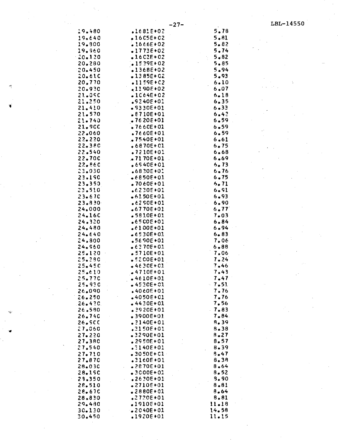$\cdot$ 

 $\ddot{\phantom{a}}$ 

| 19.480                 | .1681E+02                      | 5.78             |
|------------------------|--------------------------------|------------------|
| 19.640                 | $1605E+02$                     | 5.81             |
| 19.900                 | $.1666E + 02$                  | 5.82             |
| 19.960                 | $-1773E + 02$                  | 5.74             |
| 20.120                 | $.16C2E+02$                    | 5.82             |
| 20.280                 | $1539E + 02$                   | 5.85             |
| $-20 - 450$            | $-1368E+02$                    | 5.94             |
| 20.610                 | $-1385E + 02$                  | 5.93             |
| 20.770                 | $-1159E + C2$                  | 6.10             |
| 20.930                 | $-1190E+02$                    | 6.07             |
| 21.050<br>21.250       | $-1064E + 02$                  | 6.18             |
| 21.410                 | $$5240E+01$<br>$-9330E+01$     | 6.35<br>$6 - 33$ |
| 21.570                 | $.8710E + 01$                  | 6.42             |
| $21 - 740$             | $.7620E + 01$                  | $6 - 59$         |
| 21.900                 | $.7660E+01$                    | $6 - 59$         |
| 22.060                 | $.7660E + 01$                  | 6.59             |
| 22.220                 | $.7540E + 01$                  | 6.61             |
| 22.380                 | $.6870E + C1$                  | 6.75             |
| 22.540                 | $.7210E+01$                    | 6.68             |
| 22.70C                 | $.2170E+01$                    | 6.69             |
| 22.860                 | $.6540E + 01$                  | 6.73             |
| 23.030                 | $.6830E+02$                    | 6.76             |
| 23.190                 | $+6850F+01$                    | $6 - 75$         |
| 23.350                 | $.7060E + 01$                  | 6.71             |
| 23.510                 | $.6230E + 01$                  | 6.91             |
| 23.670                 | $-6150E+01$                    | 6.93             |
| 23.830                 | $.6250E + 01$                  | 6.90             |
| 24.000                 | $-6770E + 01$                  | 6.77'            |
| 24.160<br>24.320       | $-5810E + 01$<br>$-6500E + 01$ | 7.03<br>6.84     |
| 24.480                 | $.6100E + 01$                  | 6.94             |
| 24.640                 | $•6530E+01$                    | $6 - 83$         |
| 24,800                 | $.5690E + 01$                  | 7.06             |
| 24, 560                | $-6370F + 01$                  | $6 - 88$         |
| 25.120                 | $.5710E+01$                    | 7.06             |
| 25.280                 | $$5200E+01$                    | 7.24             |
| $25 - 450$             | $-4630E + 01$                  | 7.46             |
| 25.610                 | $-4710E+01$                    | 7.43             |
| 25.770                 | $-4610E + 01$                  | 7.47             |
| 25.930                 | -4530E+01                      | $-7.51$          |
| 26.090                 | $.4060E + 01$                  | 7,76             |
| 26.250                 | $-4050E + 01$                  | 7.76             |
| 26.420                 | •4430E+01                      | 7.56             |
| 26.580<br>26.740       | $.2920E + 01$<br>$.3900E + 01$ | $-7.83$<br>7.84  |
| 26.50C                 | $.2140E+01$                    | 8.39             |
| 27.060                 | $.3150E+01$                    | $8 - 38$         |
| 27.220                 | $.3290E + 01$                  | 8.27             |
| 27.380                 | $.2950E+01$                    | 8.57             |
| 27.540                 | $.3140E+01$                    | 8.39             |
| 27.710                 | $-3050E + 01$                  | 8.47             |
| 27.870                 | $.3160E + 01$                  | 8.38             |
| 28.030<br>$\epsilon$ . | $.2870E+01$                    | 8.64             |
| 28.190                 | $-3000E + 02$                  | 8.52             |
| 23.350                 | $.2630E + 01$                  | 3.90             |
| 28.510                 | $.2710E+01$                    | 8.81             |
| 28.67C                 | $-2880E + 01$                  | 8.64             |
| 28.830                 | $.2720E + 01$                  | 8.81             |
| 29.480                 | •19105+01                      | 11.18<br>14.58   |
| 30.130<br>30.450       | $-2040E + 01$<br>.1920E+01     | 11.15            |
|                        |                                |                  |

٧U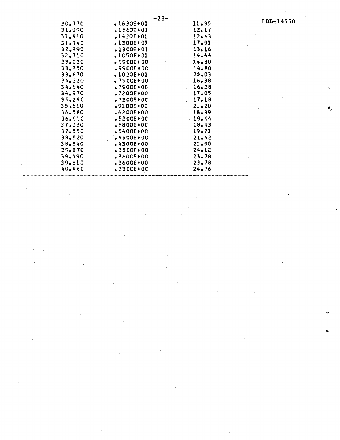|         | -28-          |                                         |     |
|---------|---------------|-----------------------------------------|-----|
| -30.770 | $-1630E + 01$ | 11.95                                   | LBI |
| 31.090  | $.1560E + 01$ | 12.17                                   |     |
| 31,410  | $.1420E + 01$ | 12.63                                   |     |
| 31.740  | $.1300E + 01$ | 17.91                                   |     |
| 32.390  | $.1300E + 01$ | 13.16                                   |     |
| 32.710  | $.1050E+01$   | 14.44                                   |     |
| 33.030  | $$5900E+00$   | 14.80                                   |     |
| 33.350  | $$5500E+00$   | 14.80                                   |     |
| 33.670  | $.1020E+01$   | $-20 - 03$                              |     |
| 34.320  | $-7500E + 00$ | 16.38                                   |     |
| 34.640  | $.7500E + 00$ | 16.38                                   |     |
| 34.970  | $.7200E + 00$ | 17.05                                   |     |
| 35.290  | $-7200E+0C$   | 17.18                                   |     |
| 35.610  | $.9100E + 00$ | 21.20                                   |     |
| 36.580  | $.6200E+00$   | $18 - 39$<br>$\mathcal{L}^{\text{max}}$ |     |
| 36.510  | $.5200E+0C$   | 19.94                                   |     |
| 37.230  | $-5800E + 0C$ | 18.93                                   |     |
| 37.550  | $.5400E + 00$ | $19 - 71$                               |     |
| 38.520  | $-4500E+00$   | 21.42                                   |     |
| 38.840  | $-4300E + 00$ | 21.90                                   |     |
| 39.170  | $-3500E+00$   | $24 - 12$                               |     |
| 39.490  | $.3600E+00$   | 23.78                                   |     |
| 39.810  | $-3600E + 00$ | $23 - 78$                               |     |
| 40, 460 | $.2300E+0C$   | 24.76                                   |     |
|         |               |                                         |     |

 $-14550$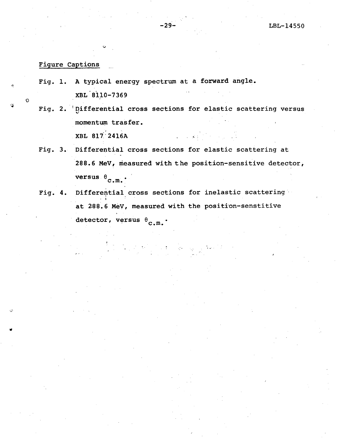### Figure Captions

- Fig. 1. A typical energy spectrum at a forward angle. XBL 8110-7369
- Fig. 2. 'Differential cross sections for elastic scattering versus '" momentum trasfer. , XBL 81 i' 24l6A ...... :.
- Fig. 3. Differential cross sections for elastic scattering at 288.6 MeV, measured with the position-sensitive detector, versus  $\theta_{\text{c.m.}}$ .

Fig. 4. Differential cross sections for inelastic scattering , I at 288.6 MeV, measured with the position-senstitive detector, versus  $\theta_{\rm c.m.}$ .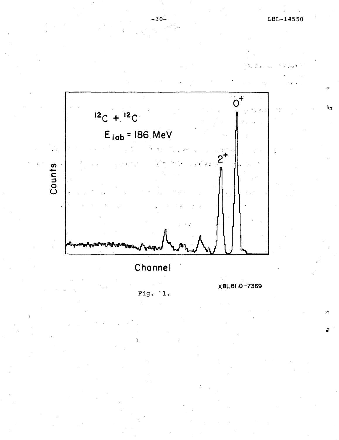رڻا



 $-30-$ 

Channel

Fig.  $\mathbf{1}$ . XBL8110-7369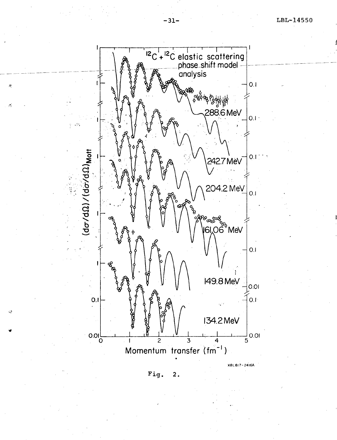

:~

'ff

فلح

**Fig. 2.**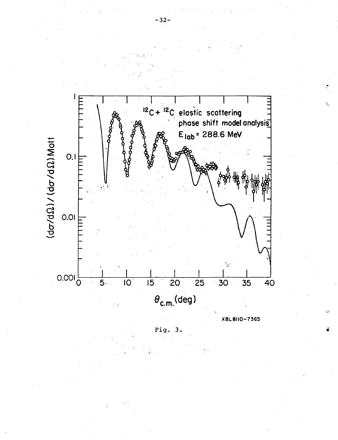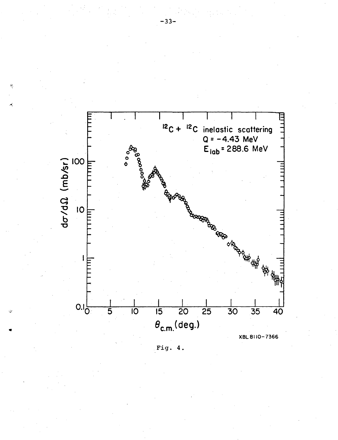

Fig.  $4.$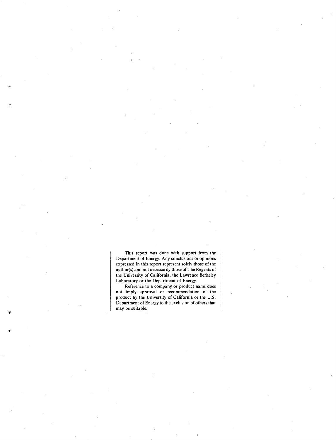This report was done with support from the Department of Energy. Any conclusions or opinions expressed in this report represent solely those of the author(s) and not necessarily those of The Regents of the University of California, the Lawrence Berkeley Laboratory or the Department of Energy.

'T

Reference to a company or product name does not imply approval or recommendation of the product by the University of California or the U.S. Department of Energy to the exclusion of others that may be suitable.